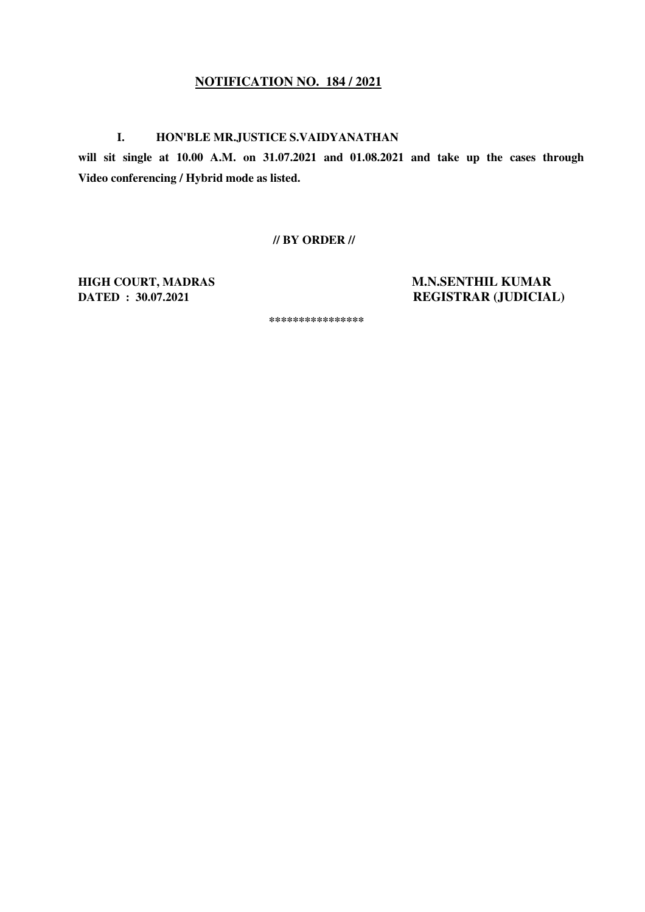## **NOTIFICATION NO. 184 / 2021**

## **I. HON'BLE MR.JUSTICE S.VAIDYANATHAN**

**will sit single at 10.00 A.M. on 31.07.2021 and 01.08.2021 and take up the cases through Video conferencing / Hybrid mode as listed.** 

 **// BY ORDER //** 

**HIGH COURT, MADRAS M.N.SENTHIL KUMAR DATED : 30.07.2021 REGISTRAR (JUDICIAL)** 

 **\*\*\*\*\*\*\*\*\*\*\*\*\*\*\*\***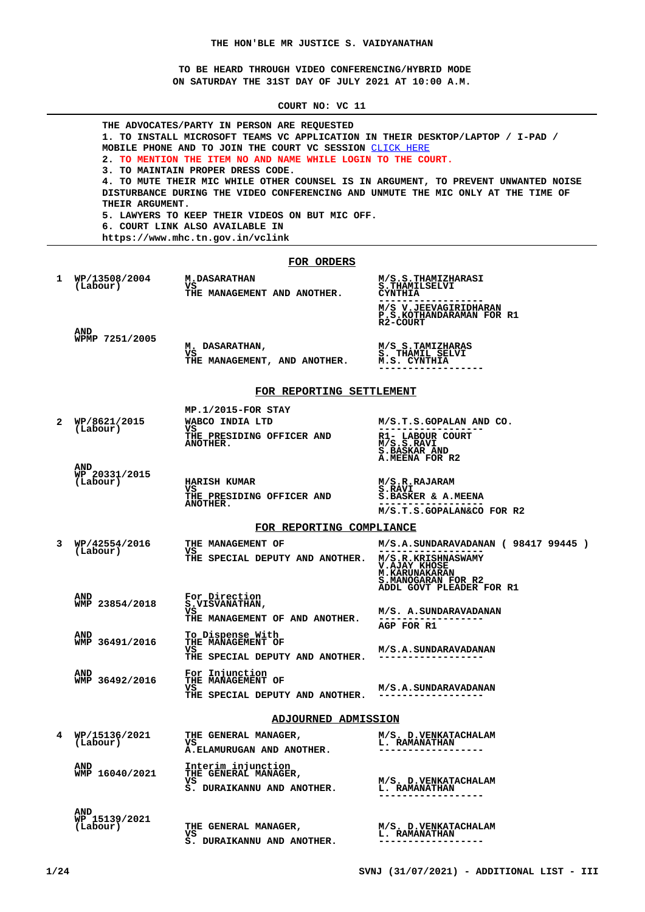**TO BE HEARD THROUGH VIDEO CONFERENCING/HYBRID MODE ON SATURDAY THE 31ST DAY OF JULY 2021 AT 10:00 A.M.**

**COURT NO: VC 11**

|   | THE ADVOCATES/PARTY IN PERSON ARE REQUESTED<br>1. TO INSTALL MICROSOFT TEAMS VC APPLICATION IN THEIR DESKTOP/LAPTOP / I-PAD /<br>MOBILE PHONE AND TO JOIN THE COURT VC SESSION CLICK HERE<br>2. TO MENTION THE ITEM NO AND NAME WHILE LOGIN TO THE COURT.<br>3. TO MAINTAIN PROPER DRESS CODE.<br><b>4. TO MUTE THEIR MIC WHILE OTHER COUNSEL IS IN ARGUMENT, TO PREVENT UNWANTED NOISE</b><br>DISTURBANCE DURING THE VIDEO CONFERENCING AND UNMUTE THE MIC ONLY AT THE TIME OF<br>THEIR ARGUMENT.<br><b>5. LAWYERS TO KEEP THEIR VIDEOS ON BUT MIC OFF.</b><br>6. COURT LINK ALSO AVAILABLE IN<br>https://www.mhc.tn.gov.in/vclink |                                                                                  |                                                                                                                  |  |  |
|---|-------------------------------------------------------------------------------------------------------------------------------------------------------------------------------------------------------------------------------------------------------------------------------------------------------------------------------------------------------------------------------------------------------------------------------------------------------------------------------------------------------------------------------------------------------------------------------------------------------------------------------------|----------------------------------------------------------------------------------|------------------------------------------------------------------------------------------------------------------|--|--|
|   |                                                                                                                                                                                                                                                                                                                                                                                                                                                                                                                                                                                                                                     | FOR ORDERS                                                                       |                                                                                                                  |  |  |
| 1 | WP/13508/2004<br>(Labour)                                                                                                                                                                                                                                                                                                                                                                                                                                                                                                                                                                                                           | <b>M.DASARATHAN</b><br>vs<br>THE MANAGEMENT AND ANOTHER.                         | M/S.S.THAMIZHARASI<br>S.THAMILSELVI<br><b>CYNTHIA</b><br>M/S V.JEEVAGIRIDHARAN                                   |  |  |
|   | <b>AND</b>                                                                                                                                                                                                                                                                                                                                                                                                                                                                                                                                                                                                                          |                                                                                  | P.S.KOTHANDARAMAN FOR R1<br>R2-COURT                                                                             |  |  |
|   | WPMP 7251/2005                                                                                                                                                                                                                                                                                                                                                                                                                                                                                                                                                                                                                      | M. DASARATHAN,<br>vs<br>THE MANAGEMENT, AND ANOTHER.                             | M/S S.TAMIZHARAS<br>S. THAMIL SELVI<br>M.S. CYNTHIA                                                              |  |  |
|   |                                                                                                                                                                                                                                                                                                                                                                                                                                                                                                                                                                                                                                     | FOR REPORTING SETTLEMENT                                                         |                                                                                                                  |  |  |
|   |                                                                                                                                                                                                                                                                                                                                                                                                                                                                                                                                                                                                                                     | MP.1/2015-FOR STAY                                                               |                                                                                                                  |  |  |
| 2 | WP/8621/2015<br>(Labour)                                                                                                                                                                                                                                                                                                                                                                                                                                                                                                                                                                                                            | WABCO INDIA LTD<br>vs<br>THE PRESIDING OFFICER AND<br><b>ANOTHER.</b>            | M/S.T.S.GOPALAN AND CO.<br>R1- LABOUR COURT<br>M/S.S.RAVI<br><b>S.BASKAR AND</b>                                 |  |  |
|   | <b>AND</b><br>WP 20331/2015<br>(Labour)                                                                                                                                                                                                                                                                                                                                                                                                                                                                                                                                                                                             | <b>HARISH KUMAR</b><br>vs<br><b>THE PRESIDING OFFICER AND</b><br><b>ANOTHER.</b> | A.MEENA FOR R2<br>M/S.R.RAJARAM<br>S.RAVI<br>S.BASKER & A.MEENA<br>M/S.T.S.GOPALAN&CO FOR R2                     |  |  |
|   |                                                                                                                                                                                                                                                                                                                                                                                                                                                                                                                                                                                                                                     | FOR REPORTING COMPLIANCE                                                         |                                                                                                                  |  |  |
| 3 | WP/42554/2016<br>(Labour)                                                                                                                                                                                                                                                                                                                                                                                                                                                                                                                                                                                                           | THE MANAGEMENT OF<br>vs<br>THE SPECIAL DEPUTY AND ANOTHER.                       | $M/S.A.SUNDARAVADANAN$ (9841799445)<br><b>M/S.R.KRISHNASWAMY</b><br><b>V.AJAY KHOSE</b><br><b>M. KARUNAKARAN</b> |  |  |
|   | <b>AND</b>                                                                                                                                                                                                                                                                                                                                                                                                                                                                                                                                                                                                                          | For Direction                                                                    | S.MANOGARAN FOR R2<br>ADDL GOVT PLEADER FOR R1                                                                   |  |  |
|   | WMP 23854/2018                                                                                                                                                                                                                                                                                                                                                                                                                                                                                                                                                                                                                      | S.VISVANATHAN,<br>vs<br>THE MANAGEMENT OF AND ANOTHER.                           | M/S. A.SUNDARAVADANAN<br>AGP FOR R1                                                                              |  |  |
|   | <b>AND</b><br>WMP 36491/2016                                                                                                                                                                                                                                                                                                                                                                                                                                                                                                                                                                                                        | To Dispense With<br>THE MANAGEMENT OF<br>vs<br>THE SPECIAL DEPUTY AND ANOTHER.   | M/S.A. SUNDARAVADANAN                                                                                            |  |  |
|   | AND<br>WMP 36492/2016                                                                                                                                                                                                                                                                                                                                                                                                                                                                                                                                                                                                               | For Injunction<br>THE MANAGEMENT OF<br>VS<br>THE SPECIAL DEPUTY AND ANOTHER.     | M/S.A.SUNDARAVADANAN<br>------------------                                                                       |  |  |
|   |                                                                                                                                                                                                                                                                                                                                                                                                                                                                                                                                                                                                                                     | <b>ADJOURNED ADMISSION</b>                                                       |                                                                                                                  |  |  |
| 4 | WP/15136/2021<br>(Labour)                                                                                                                                                                                                                                                                                                                                                                                                                                                                                                                                                                                                           | THE GENERAL MANAGER,<br>vs<br>A.ELAMURUGAN AND ANOTHER.                          | M/S. D.VENKATACHALAM<br><b>L. RAMANATHAN</b>                                                                     |  |  |
|   | AND<br>WMP 16040/2021                                                                                                                                                                                                                                                                                                                                                                                                                                                                                                                                                                                                               | Interim injunction<br>THE GENERAL MANAGER,<br>VS<br>S. DURAIKANNU AND ANOTHER.   | M/S. D. VENKATACHALAM<br><b>L. RAMANATHAN</b><br>------------------                                              |  |  |
|   | AND<br>WP 15139/2021<br>(Labour)                                                                                                                                                                                                                                                                                                                                                                                                                                                                                                                                                                                                    | THE GENERAL MANAGER,<br>vs<br>S. DURAIKANNU AND ANOTHER.                         | M/S. D.VENKATACHALAM<br><b>L. RAMANATHAN</b><br>------------------                                               |  |  |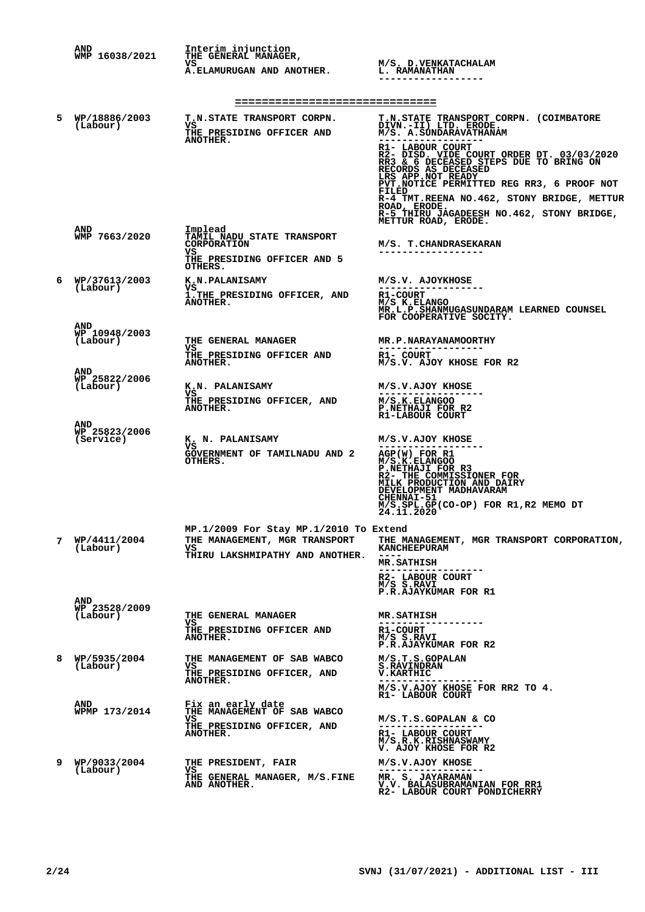|   | AND<br>WMP 16038/2021                   | Interim injunction<br>THE GENERAL MANAGER,                                                                          |                                                                                                                                                                                                                                                                                                                                                                                                                                       |  |  |
|---|-----------------------------------------|---------------------------------------------------------------------------------------------------------------------|---------------------------------------------------------------------------------------------------------------------------------------------------------------------------------------------------------------------------------------------------------------------------------------------------------------------------------------------------------------------------------------------------------------------------------------|--|--|
|   |                                         | VS<br>A.ELAMURUGAN AND ANOTHER.                                                                                     | M/S. D.VENKATACHALAM<br><b>L. RAMANATHAN</b>                                                                                                                                                                                                                                                                                                                                                                                          |  |  |
|   | ===============================         |                                                                                                                     |                                                                                                                                                                                                                                                                                                                                                                                                                                       |  |  |
| 5 | WP/18886/2003<br>(Labour)               | T.N.STATE TRANSPORT CORPN.<br>VS<br>THE PRESIDING OFFICER AND<br>ANOTHER.                                           | T.N.STATE TRANSPORT CORPN. (COIMBATORE DIVN.-II) LTD. ERODE.<br>M/S. A.SUNDARAVATHANAM<br>R1- LABOUR COURT<br>R2-DISD. VIDE COURT ORDER DT. 03/03/2020<br>RR3 & 6 DECEASED STEPS DUE TO BRING ON<br>RECORDS AS DECEASED<br>LRS APP.NOT READY<br>PVT. NOTICE PERMITTED REG RR3, 6 PROOF NOT<br>FILED<br>R-4 TMT.REENA NO.462, STONY BRIDGE, METTUR<br>ROAD, ERODE.<br>R-5 THIRU JAGADEESH NO.462, STONY BRIDGE,<br>METTUR ROAD, ERODE. |  |  |
|   | <b>AND</b><br>WMP 7663/2020             | Implead<br><b>TAMIL NADU STATE TRANSPORT</b><br><b>CORPORATION</b><br>VS.<br>THE PRESIDING OFFICER AND 5<br>OTHERS. | M/S. T.CHANDRASEKARAN<br>-----------------                                                                                                                                                                                                                                                                                                                                                                                            |  |  |
| 6 | WP/37613/2003<br>(Labour)               | K.N.PALANISAMY<br>VS<br>1. THE PRESIDING OFFICER, AND<br>ANOTHER.                                                   | M/S.V. AJOYKHOSE<br>R1-COURT<br>M/S K.ELANGO<br>MR.L.P.SHANMUGASUNDARAM LEARNED COUNSEL<br>FOR COOPERATIVE SOCITY.                                                                                                                                                                                                                                                                                                                    |  |  |
|   | <b>AND</b><br>WP 10948/2003<br>(Labour) | THE GENERAL MANAGER<br>VS<br>THE PRESIDING OFFICER AND<br>ANOTHER.                                                  | <b>MR.P.NARAYANAMOORTHY</b><br>------------------<br>R1- COURT<br>M/S.V. AJOY KHOSE FOR R2                                                                                                                                                                                                                                                                                                                                            |  |  |
|   | <b>AND</b><br>WP 25822/2006<br>(Labour) | K.N. PALANISAMY<br>VS<br>THE PRESIDING OFFICER, AND<br>ANOTHER.                                                     | M/S.V.AJOY KHOSE<br>M/S.K.ELANGOO<br>P.NETHAJI FOR R2<br>R1-LABOUR COURT                                                                                                                                                                                                                                                                                                                                                              |  |  |
|   | AND<br>WP 25823/2006<br>(Service)       | K. N. PALANISAMY<br>VSI<br>GOVERNMENT OF TAMILNADU AND 2<br>OTHERS.                                                 | M/S.V.AJOY KHOSE<br>$AGP(W)$ FOR R1<br>M/S.K.ELANGOO<br>P.NETHAJI FOR R3<br>R2- THE COMMISSIONER FOR<br>MILK PRODUCTION AND DAIRY<br>DEVELOPMENT MADHAVARAM<br><b>CHENNAI-51</b><br>$M/S.SPL.GP(CO-OP)$ FOR R1, R2 MEMO DT $24.11.2020$                                                                                                                                                                                               |  |  |
| 7 | WP/4411/2004<br>(Labour)                | MP.1/2009 For Stay MP.1/2010 To Extend<br>THE MANAGEMENT, MGR TRANSPORT<br>VS<br>THIRU LAKSHMIPATHY AND ANOTHER.    | THE MANAGEMENT, MGR TRANSPORT CORPORATION,<br><b>KANCHEEPURAM</b><br><b>MR.SATHISH</b><br>. - - - - - - - .<br>R2- LABOUR COURT<br>M/S S.RAVI<br>P.R.AJAYKUMAR FOR R1                                                                                                                                                                                                                                                                 |  |  |
|   | AND<br>WP 23528/2009<br>(Labour)        | <b>THE GENERAL MANAGER</b><br>VS.<br>THE PRESIDING OFFICER AND<br>ANOTHER.                                          | <b>MR.SATHISH</b><br>R1-COURT<br>M/S S.RAVI<br>P.R.AJAYKUMAR FOR R2                                                                                                                                                                                                                                                                                                                                                                   |  |  |
| 8 | WP/5935/2004<br>(Labour)                | THE MANAGEMENT OF SAB WABCO<br>VS<br>THE PRESIDING OFFICER, AND<br><b>ANOTHER.</b>                                  | M/S.T.S.GOPALAN<br><b>S.RAVINDRAN</b><br><b>V.KARTHIC</b><br>M/S.V.AJOY KHOSE FOR RR2 TO 4.<br>R1- LABOUR COURT                                                                                                                                                                                                                                                                                                                       |  |  |
|   | AND<br>WPMP 173/2014                    | Fix an early date<br>THE MANAGEMENT OF SAB WABCO<br>VS<br>THE PRESIDING OFFICER, AND<br>ANOTHER.                    | M/S.T.S.GOPALAN & CO<br>R1- LABOUR COURT<br>M/S.R.K.RISHNASWAMY<br>V. AJOY KHOSE FOR R2                                                                                                                                                                                                                                                                                                                                               |  |  |
| 9 | WP/9033/2004<br>(Labour)                | THE PRESIDENT, FAIR<br>vs<br>THE GENERAL MANAGER, M/S.FINE<br>AND ANOTHER.                                          | M/S.V.AJOY KHOSE<br>MR. S. JAYARAMAN<br>V.V. BALASUBRAMANIAN FOR RR1<br>R2- LABOUR COURT PONDICHERRY                                                                                                                                                                                                                                                                                                                                  |  |  |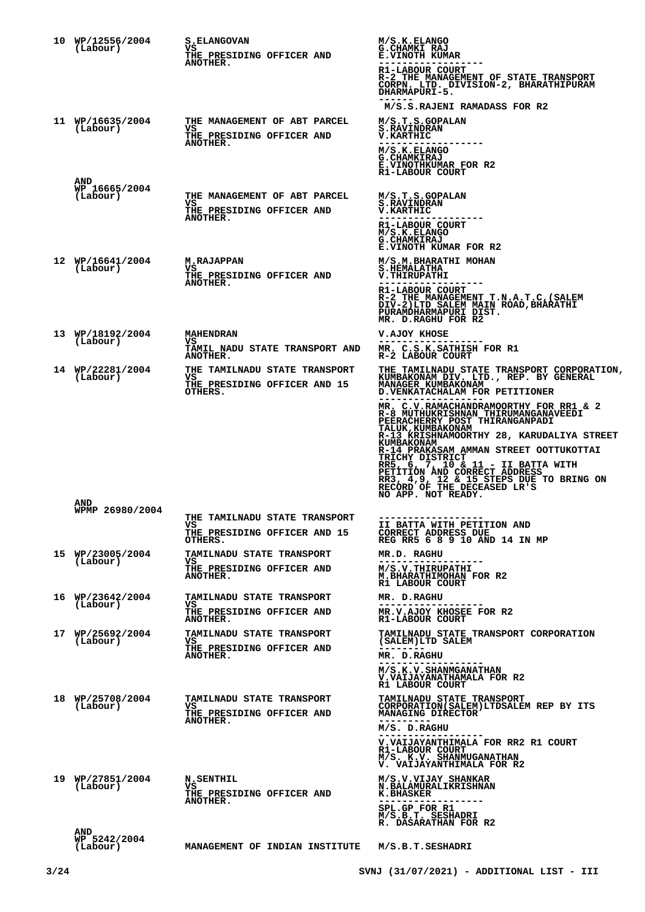| 10 WP/12556/2004<br>(Labour)           | <b>S.ELANGOVAN</b><br>VS<br>THE PRESIDING OFFICER AND<br><b>ANOTHER.</b>               | M/S.K.ELANGO<br>G.CHAMKI RAJ<br><b>E.VINOTH KUMAR</b><br>R1-LABOUR COURT<br>R-2 THE MANAGEMENT OF STATE TRANSPORT<br>CORPN. LTD. DIVISION-2, BHARATHIPURAM<br>DHARMAPURI-5.<br>M/S.S.RAJENI RAMADASS FOR R2                                                                                                                                                                                                                                                                                                                                                                                          |
|----------------------------------------|----------------------------------------------------------------------------------------|------------------------------------------------------------------------------------------------------------------------------------------------------------------------------------------------------------------------------------------------------------------------------------------------------------------------------------------------------------------------------------------------------------------------------------------------------------------------------------------------------------------------------------------------------------------------------------------------------|
| 11 WP/16635/2004<br>(Labour)           | THE MANAGEMENT OF ABT PARCEL<br>vs<br>THE PRESIDING OFFICER AND<br>ANOTHER.            | M/S.T.S.GOPALAN<br><b>S.RAVINDRAN</b><br><b>V.KARTHIC</b><br>M/S.K.ELANGO<br><b>G. CHAMKIRAJ</b><br><b>E.VINOTHKUMAR FOR R2</b><br>R1-LABOUR COURT                                                                                                                                                                                                                                                                                                                                                                                                                                                   |
| AND<br>WP 16665/2004<br>(Labour)       | THE MANAGEMENT OF ABT PARCEL<br>vs<br>THE PRESIDING OFFICER AND<br>ANOTHER.            | M/S.T.S.GOPALAN<br><b>S.RAVINDRAN</b><br><b>V.KARTHIC</b><br>-----------<br>R1-LABOUR COURT<br>M/S.K.ELANGO<br><b>G.CHAMKIRAJ</b><br>E.VINOTH KUMAR FOR R2                                                                                                                                                                                                                                                                                                                                                                                                                                           |
| 12 WP/16641/2004<br>(Labour)           | <b>M.RAJAPPAN</b><br>VS<br>THE PRESIDING OFFICER AND<br><b>ANOTHER.</b>                | M/S.M.BHARATHI MOHAN<br><b>S.HEMALATHA</b><br>V.THIRUPATHI<br>R1-LABOUR COURT<br>R-2 THE MANAGEMENT T.N.A.T.C, (SALEM<br>DIV-2)LTD SALEM MAIN ROAD, BHARATHI<br>PURAMDHARMAPURI DIST.<br>MR. D.RAGHU FOR R2                                                                                                                                                                                                                                                                                                                                                                                          |
| 13 WP/18192/2004<br>(Labour)           | <b>MAHENDRAN</b><br>vs<br>TAMIL NADU STATE TRANSPORT AND<br>ANOTHER.                   | V.AJOY KHOSE<br>MR. C.S.K.SATHISH FOR R1<br>R-2 LABOUR COURT                                                                                                                                                                                                                                                                                                                                                                                                                                                                                                                                         |
| 14 WP/22281/2004<br>(Labour)           | THE TAMILNADU STATE TRANSPORT<br>VS.<br>THE PRESIDING OFFICER AND 15<br>OTHERS.        | <b>THE TAMILNADU STATE TRANSPORT CORPORATION,</b><br>KUMBAKONAM DIV. LTD., REP. BY GENERAL<br>MANAGER KUMBAKONAM<br>D. VENKATACHALAM FOR PETITIONER<br>MR. C.V.RAMACHANDRAMOORTHY FOR RR1 & 2<br>R-8 MUTHUKRISHNAN THIRUMANGANAVEEDI<br>PEERACHERRY POST THIRANGANPADI<br><b>TALUK, KUMBAKONAM</b><br>R-13 KRISHNAMOORTHY 28, KARUDALIYA STREET<br>KUMBAKONAM<br>R-14 PRAKASAM AMMAN STREET OOTTUKOTTAI<br><b>TRICHY DISTRICT</b><br>RR5, 6, 7, 10 & 11 - II BATTA WITH<br>PETITION AND CORRECT ADDRESS<br>RR3, 4,9, 12 & 15 STEPS DUE TO BRING ON RECORD OF THE DECEASED LR'S<br>NO APP. NOT READY. |
| <b>AND</b><br>WPMP 26980/2004          | THE TAMILNADU STATE TRANSPORT<br>VS.<br>THE PRESIDING OFFICER AND 15<br>OTHERS.        | -------------------<br>II BATTA WITH PETITION AND<br>CORRECT ADDRESS DUE<br>REG RR5 6 8 9 10 AND 14 IN MP                                                                                                                                                                                                                                                                                                                                                                                                                                                                                            |
| 15 WP/23005/2004<br>(Labour)           | <b>TAMILNADU STATE TRANSPORT</b><br>vs<br>THE PRESIDING OFFICER AND<br><b>ANOTHER.</b> | MR.D. RAGHU<br>. _ _ _ _ _ _ _ _ _ _ _ _ _ _ _ _ _ _<br>M/S.V.THIRUPATHI<br>M.BHARATHIMOHAN FOR R2<br>R1 LABOUR COURT                                                                                                                                                                                                                                                                                                                                                                                                                                                                                |
| 16 WP/23642/2004<br>(Labour)           | TAMILNADU STATE TRANSPORT<br>vs<br>THE PRESIDING OFFICER AND<br><b>ANOTHER.</b>        | MR. D.RAGHU<br>MR.V.AJOY KHOSEE FOR R2<br>R1-LABOUR COURT                                                                                                                                                                                                                                                                                                                                                                                                                                                                                                                                            |
| 17 WP/25692/2004<br>(Labour)           | TAMILNADU STATE TRANSPORT<br>VS.<br>THE PRESIDING OFFICER AND<br>ANOTHER.              | TAMILNADU STATE TRANSPORT CORPORATION<br>(SALEM)LTD SALEM<br>MR. D.RAGHU<br>M/S.K.V.SHANMGANATHAN<br>V. VAIJAYANATHAMALA FOR R2<br>R1 LABOUR COURT                                                                                                                                                                                                                                                                                                                                                                                                                                                   |
| 18 WP/25708/2004<br>(Labour)           | <b>TAMILNADU STATE TRANSPORT</b><br>VS<br>THE PRESIDING OFFICER AND<br><b>ANOTHER.</b> | <b>TAMILNADU STATE TRANSPORT</b><br>CORPORATION (SALEM) LTDSALEM REP BY ITS<br>MANAGING DIRECTOR<br>M/S. D.RAGHU<br>V.VAIJAYANTHIMALA FOR RR2 R1 COURT<br>R1-LABOUR COURT<br>M/S. K.V. SHANMUGANATHAN<br>V. VAIJAYANTHIMALA FOR R2                                                                                                                                                                                                                                                                                                                                                                   |
| 19 WP/27851/2004<br>(Labour)           | <b>N.SENTHIL</b><br>vs<br>THE PRESIDING OFFICER AND<br>ANOTHER.                        | M/S.V.VIJAY SHANKAR<br>N.BALAMURALIKRISHNAN<br><b>K.BHASKER</b><br>SPL.GP FOR R1<br>M/S.B.T. SESHADRI                                                                                                                                                                                                                                                                                                                                                                                                                                                                                                |
| <b>AND</b><br>WP 5242/2004<br>(Labour) | MANAGEMENT OF INDIAN INSTITUTE                                                         | R. DASARATHAN FOR R2<br>M/S.B.T.SESHADRI                                                                                                                                                                                                                                                                                                                                                                                                                                                                                                                                                             |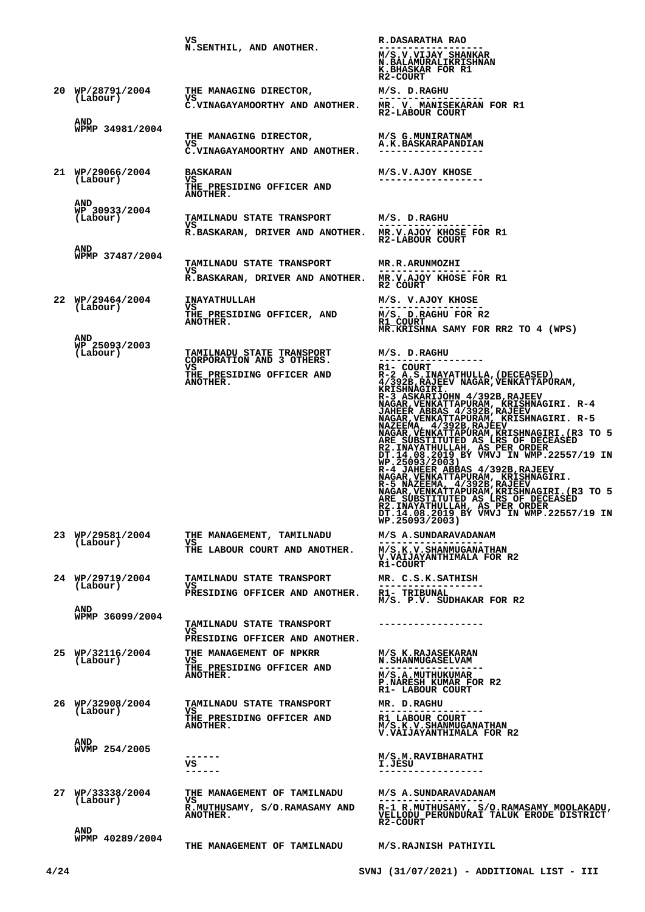|                                         | vs<br>N.SENTHIL, AND ANOTHER.                                                                                 | R.DASARATHA RAO<br>M/S.V.VIJAY SHANKAR<br><b>N.BALAMURALIKRISHNAN</b>                                                                                                                                                                                                                                                                                                                                                                                                                                                                                                                                                                                                                                                                                                                                                 |
|-----------------------------------------|---------------------------------------------------------------------------------------------------------------|-----------------------------------------------------------------------------------------------------------------------------------------------------------------------------------------------------------------------------------------------------------------------------------------------------------------------------------------------------------------------------------------------------------------------------------------------------------------------------------------------------------------------------------------------------------------------------------------------------------------------------------------------------------------------------------------------------------------------------------------------------------------------------------------------------------------------|
| 20 WP/28791/2004<br>(Labour)            | THE MANAGING DIRECTOR,<br>VS<br>C.VINAGAYAMOORTHY AND ANOTHER.                                                | K.BHASKAR FOR R1<br>R2-COURT<br>M/S. D.RAGHU<br>MR. V. MANISEKARAN FOR R1<br>R2-LABOUR COURT                                                                                                                                                                                                                                                                                                                                                                                                                                                                                                                                                                                                                                                                                                                          |
| AND<br>WPMP 34981/2004                  | THE MANAGING DIRECTOR,<br>VS<br>C.VINAGAYAMOORTHY AND ANOTHER.                                                | M/S G.MUNIRATNAM<br>A.K.BASKARAPANDIAN                                                                                                                                                                                                                                                                                                                                                                                                                                                                                                                                                                                                                                                                                                                                                                                |
| 21 WP/29066/2004<br>(Labour)            | <b>BASKARAN</b><br>VS<br>THE PRESIDING OFFICER AND<br>ANOTHER.                                                | M/S.V.AJOY KHOSE<br>------------------                                                                                                                                                                                                                                                                                                                                                                                                                                                                                                                                                                                                                                                                                                                                                                                |
| AND<br>WP 30933/2004<br>(Labour)<br>AND | <b>TAMILNADU STATE TRANSPORT</b><br>vs<br>R.BASKARAN, DRIVER AND ANOTHER. MR.V.AJOY KHOSE FOR R1              | M/S. D.RAGHU<br>R2-LABOUR COURT                                                                                                                                                                                                                                                                                                                                                                                                                                                                                                                                                                                                                                                                                                                                                                                       |
| WPMP 37487/2004                         | <b>TAMILNADU STATE TRANSPORT</b><br>vs<br>R.BASKARAN, DRIVER AND ANOTHER. MR.V.AJOY KHOSE FOR R1              | <b>MR.R.ARUNMOZHI</b><br>R2 COURT                                                                                                                                                                                                                                                                                                                                                                                                                                                                                                                                                                                                                                                                                                                                                                                     |
| 22 WP/29464/2004<br>(Labour)            | <b>INAYATHULLAH</b><br>VS.<br>THE PRESIDING OFFICER, AND<br><b>ANOTHER.</b>                                   | M/S. V.AJOY KHOSE<br>M/S. D.RAGHU FOR R2<br>R1 COURT<br>MR.KRISHNA SAMY FOR RR2 TO 4 (WPS)                                                                                                                                                                                                                                                                                                                                                                                                                                                                                                                                                                                                                                                                                                                            |
| <b>AND</b><br>WP 25093/2003<br>(Labour) | TAMILNADU STATE TRANSPORT<br>CORPORATION AND 3 OTHERS.<br>VS.<br>THE PRESIDING OFFICER AND<br><b>ANOTHER.</b> | M/S. D.RAGHU<br>-------<br>R1- COURT<br>R-2 A.S. INAYATHULLA, (DECEASED)<br>4/392B, RAJEEV NAGAR, VENKATTAPURAM,<br>KRISHNAGIRI.<br>R-3 ASKARIJOHN 4/392B, RAJEEV<br>R-3 ASAARIJOHN <sup>4</sup> /392B, KAJ ERIBINAGIRI. R-4<br>JAHEER ABBAS 4/392B, RAJEEV<br>NAGAR, VENKATTAPURAM, KRISHNAGIRI. R-5<br>NAGAR, WAKATTAPURAM, KRISHNAGIRI. R-5<br>NAGAR, VENKATTAPURAM, KRISHNAGIRI. (R3 TO 5<br>ARE SUBSTITUTED AS LRS. OF<br>R2.INAYATHULLAH, AS PER ORDER<br>DT.14.08.2019 BY VMVJ IN WMP.22557/19 IN<br>WP.25093/2003)<br>R-4.JAHEER ABBAS 4/392B.RAJEEV<br>NAGAR, VENKATTAPURAM, KRISHNAGIRI.<br>R-5 NAZEEMA, 4/392B, RAJEEV<br>NAGAR, VENKATTAPURAM, KRISHNAGIRI. (R3 TO 5<br>ARE_SUBSTITUTED_AS_LRS_OF_DECEASED<br>R2.INAYATHULLAH, AS PER ORDER<br>DT.14.08.2019 BY VMVJ IN WMP.22557/19 IN<br>WP.25093/2003) |
| 23 WP/29581/2004<br>(Labour)            | THE MANAGEMENT, TAMILNADU<br>VS.<br>THE LABOUR COURT AND ANOTHER.                                             | M/S A. SUNDARAVADANAM<br>M/S.K.V.SHANMUGANATHAN<br>V. VAIJAYANTHIMALA FOR R2<br>R1-COURT                                                                                                                                                                                                                                                                                                                                                                                                                                                                                                                                                                                                                                                                                                                              |
| 24 WP/29719/2004<br>(Labour)<br>AND     | TAMILNADU STATE TRANSPORT<br>vs<br>PRESIDING OFFICER AND ANOTHER.                                             | MR. C.S.K.SATHISH<br>R1- TRIBUNAL<br>M/S. P.V. SUDHAKAR FOR R2                                                                                                                                                                                                                                                                                                                                                                                                                                                                                                                                                                                                                                                                                                                                                        |
| WPMP 36099/2004                         | <b>TAMILNADU STATE TRANSPORT</b><br>vs<br>PRESIDING OFFICER AND ANOTHER.                                      |                                                                                                                                                                                                                                                                                                                                                                                                                                                                                                                                                                                                                                                                                                                                                                                                                       |
| 25 WP/32116/2004<br>(Labour)            | <b>THE MANAGEMENT OF NPKRR</b><br>vs l<br>THE PRESIDING OFFICER AND<br><b>ANOTHER.</b>                        | M/S K.RAJASEKARAN<br><b>N.SHANMUGASELVAM</b><br>M/S.A.MUTHUKUMAR<br>P.NARESH KUMAR FOR R2<br>R1- LABOUR COURT                                                                                                                                                                                                                                                                                                                                                                                                                                                                                                                                                                                                                                                                                                         |
| 26 WP/32908/2004<br>(Labour)            | <b>TAMILNADU STATE TRANSPORT</b><br>vs<br>THE PRESIDING OFFICER AND<br><b>ANOTHER.</b>                        | MR. D.RAGHU<br>R1 LABOUR COURT<br>M/S.K.V.SHANMUGANATHAN<br>V.VAIJAYANTHIMALA FOR R2                                                                                                                                                                                                                                                                                                                                                                                                                                                                                                                                                                                                                                                                                                                                  |
| AND<br>WVMP 254/2005                    | ------<br>vs<br>------                                                                                        | M/S.M.RAVIBHARATHI<br>I.JESU<br>------------------                                                                                                                                                                                                                                                                                                                                                                                                                                                                                                                                                                                                                                                                                                                                                                    |
| 27 WP/33338/2004<br>(Labour)            | THE MANAGEMENT OF TAMILNADU<br>VS.<br>R.MUTHUSAMY, S/O.RAMASAMY AND<br><b>ANOTHER.</b>                        | M/S A. SUNDARAVADANAM<br>R-1 R.MUTHUSAMY, S/O.RAMASAMY MOOLAKADU,<br>VELLODU PERUNDURAI TALUK ERODE DISTRICT<br><b>R2-COURT</b>                                                                                                                                                                                                                                                                                                                                                                                                                                                                                                                                                                                                                                                                                       |
| AND<br>WPMP 40289/2004                  | THE MANAGEMENT OF TAMILNADU                                                                                   | M/S.RAJNISH PATHIYIL                                                                                                                                                                                                                                                                                                                                                                                                                                                                                                                                                                                                                                                                                                                                                                                                  |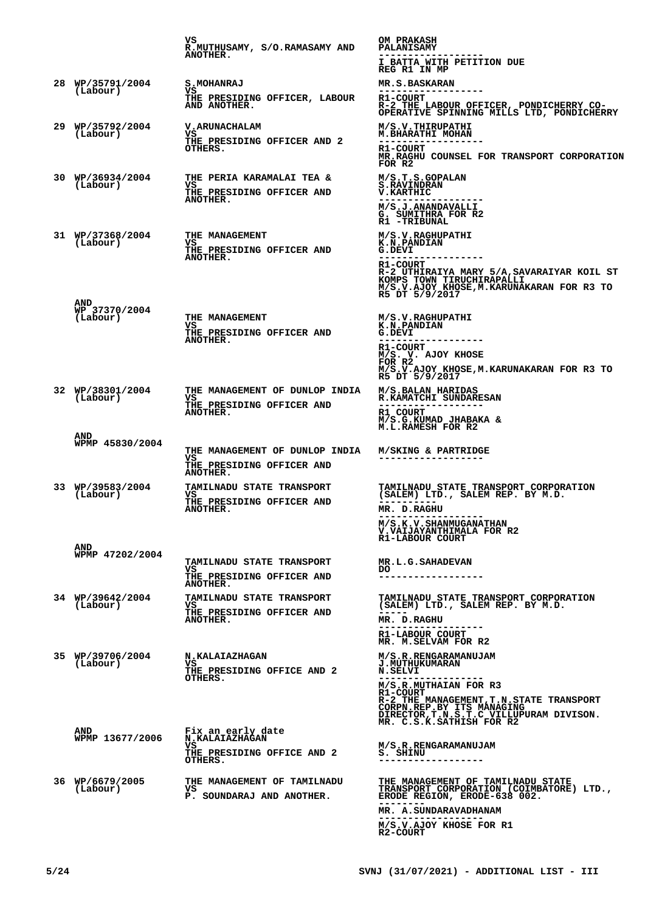|                                  | vs<br>R.MUTHUSAMY, S/O.RAMASAMY AND<br><b>ANOTHER.</b>                                    | <b>OM PRAKASH</b><br><b>PALANISAMY</b><br>I BATTA WITH PETITION DUE<br>REG R1 IN MP                                                                                                                                 |
|----------------------------------|-------------------------------------------------------------------------------------------|---------------------------------------------------------------------------------------------------------------------------------------------------------------------------------------------------------------------|
| 28 WP/35791/2004                 | <b>S.MOHANRAJ</b>                                                                         | <b>MR.S.BASKARAN</b>                                                                                                                                                                                                |
| (Labour)                         | VS<br>THE PRESIDING OFFICER, LABOUR<br>AND ANOTHER.                                       | ------------------<br><b>R1-COURT</b><br>R-2 THE LABOUR OFFICER, PONDICHERRY CO-<br>OPERATIVE SPINNING MILLS LTD, PONDICHERRY                                                                                       |
| 29 WP/35792/2004<br>(Labour)     | V. ARUNACHALAM<br>VS<br><b>THE PRESIDING OFFICER AND 2</b><br>OTHERS.                     | M/S.V. THIRUPATHI<br>M. BHARATHI MOHAN<br>------------------<br>R1-COURT<br>MR.RAGHU COUNSEL FOR TRANSPORT CORPORATION<br>FOR R2                                                                                    |
| 30 WP/36934/2004<br>(Labour)     | <b>THE PERIA KARAMALAI TEA &amp;</b><br>VS<br>THE PRESIDING OFFICER AND<br>ANOTHER.       | M/S.T.S.GOPALAN<br><b>S.RAVINDRAN</b><br><b>V.KARTHIC</b><br>------------------<br>M/S.J.ANANDAVALLI<br>G. SUMITHRA FOR R2                                                                                          |
| 31 WP/37368/2004<br>(Labour)     | THE MANAGEMENT<br>vs<br>THE PRESIDING OFFICER AND<br>ANOTHER.                             | R1 -TRIBUNAL<br>M/S.V.RAGHUPATHI<br><b>K.N.PANDIAN</b><br>G.DEVI<br>R1-COURT<br>R-2 UTHIRAIYA MARY 5/A, SAVARAIYAR KOIL ST<br>KOMPS TOWN TIRUCHIRAPALLI<br>M/S.V.AJOY KHOSE, M.KARUNAKARAN FOR R3 TO R5 DT 5/9/2017 |
| AND<br>WP 37370/2004<br>(Labour) | THE MANAGEMENT<br>VS<br>THE PRESIDING OFFICER AND<br>ANOTHER.                             | M/S.V.RAGHUPATHI<br><b>K.N.PANDIAN</b><br>G.DEVI<br><b>R1-COURT</b><br>M/S. V. AJOY KHOSE<br>FOR R2<br>M/S.V.AJOY KHOSE, M. KARUNAKARAN FOR R3 TO<br>R5 DT 5/9/2017                                                 |
| 32 WP/38301/2004<br>(Labour)     | THE MANAGEMENT OF DUNLOP INDIA<br>vs<br>THE PRESIDING OFFICER AND<br>ANOTHER.             | M/S.BALAN HARIDAS<br>R.KAMATCHI SUNDARESAN<br>R1 COURT<br>M/S.G.KUMAD JHABAKA &<br>M.L.RAMESH FOR R2                                                                                                                |
| AND<br>WPMP 45830/2004           | THE MANAGEMENT OF DUNLOP INDIA<br>vs<br>THE PRESIDING OFFICER AND<br>ANOTHER.             | M/SKING & PARTRIDGE                                                                                                                                                                                                 |
| 33 WP/39583/2004<br>(Labour)     | <b>TAMILNADU STATE TRANSPORT</b><br>VS.<br><b>THE PRESIDING OFFICER AND</b><br>ANOTHER.   | TAMILNADU STATE TRANSPORT CORPORATION<br>(SALEM) LTD., SALEM REP. BY M.D.<br>MR. D.RAGHU<br>. - - - - - - -<br><b>M/S.K.V.SHANMUGANATHAN</b><br>V.VAIJAYANTHIMALA FOR R2<br>R1-LABOUR COURT                         |
| AND<br>WPMP 47202/2004           | <b>TAMILNADU STATE TRANSPORT</b><br>VS<br>THE PRESIDING OFFICER AND<br>ANOTHER.           | <b>MR.L.G.SAHADEVAN</b><br>DO.<br>----                                                                                                                                                                              |
| 34 WP/39642/2004<br>(Labour)     | <b>TAMILNADU STATE TRANSPORT</b><br>VS.<br>THE PRESIDING OFFICER AND<br><b>ANOTHER.</b>   | TAMILNADU STATE TRANSPORT CORPORATION<br>(SALEM) LTD., SALEM REP. BY M.D.<br>MR. D.RAGHU<br>.<br>R1-LABOUR COURT<br>MR. M. SELVAM FOR R2                                                                            |
| 35 WP/39706/2004<br>(Labour)     | N.KALAIAZHAGAN<br>VS<br><b>THE PRESIDING OFFICE AND 2</b><br>OTHERS.                      | M/S.R.RENGARAMANUJAM<br><b>J.MUTHUKUMARAN</b><br><b>N.SELVI</b><br>M/S.R.MUTHAIAN FOR R3<br><b>R1-COURT</b><br>DIRECTOR, T.N.S.T.C VILLUPURAM DIVISON.<br>MR. C.S.K.SATHISH FOR R2                                  |
| AND<br>WPMP 13677/2006           | Fix an early date<br><b>N.KALAIAZHAGAN</b><br>vs<br>THE PRESIDING OFFICE AND 2<br>OTHERS. | M/S.R.RENGARAMANUJAM<br>S. SHINU<br>----------<br>--------                                                                                                                                                          |
| 36 WP/6679/2005<br>(Labour)      | THE MANAGEMENT OF TAMILNADU<br>vs<br>P. SOUNDARAJ AND ANOTHER.                            | THE MANAGEMENT OF TAMILNADU STATE<br>TRANSPORT CORPORATION (COIMBATORE) LTD.,<br>ERODE REGION, ERODE-638 002.<br>MR. A. SUNDARAVADHANAM<br>M/S.V.AJOY KHOSE FOR R1<br>R2-COURT                                      |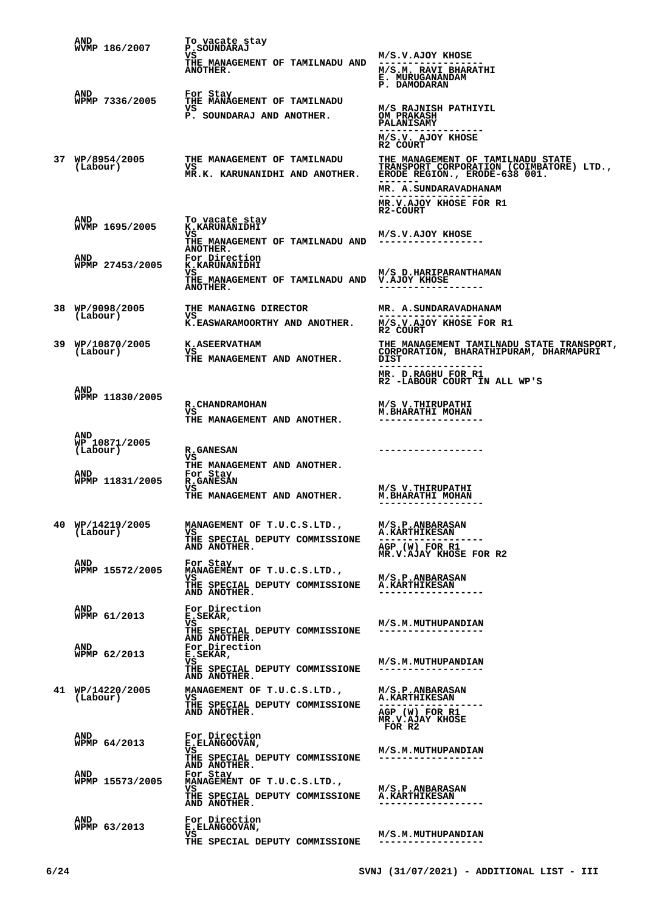|    | AND<br>WVMP 186/2007          | To vacate stay<br>P.SOUNDARAJ                                              |                                                                                                                                      |
|----|-------------------------------|----------------------------------------------------------------------------|--------------------------------------------------------------------------------------------------------------------------------------|
|    |                               | vs<br>THE MANAGEMENT OF TAMILNADU AND<br>ANOTHER.                          | M/S.V.AJOY KHOSE<br>M/S.M. RAVI BHARATHI<br>E. MURUGANANDAM<br>P. DAMODARAN                                                          |
|    | AND<br>WPMP 7336/2005         | For Stay<br>THE MANAGEMENT OF TAMILNADU<br>vs<br>P. SOUNDARAJ AND ANOTHER. | M/S RAJNISH PATHIYIL<br><b>OM PRAKASH</b><br><b>PALANISAMY</b>                                                                       |
|    | 37 WP/8954/2005               | THE MANAGEMENT OF TAMILNADU                                                | M/S.V. AJOY KHOSE<br>R2 COURT<br>THE MANAGEMENT OF TAMILNADU STATE                                                                   |
|    | (Labour)                      | VS<br>MR.K. KARUNANIDHI AND ANOTHER.                                       | TRANSPORT CORPORATION (COIMBATORE) LTD.,<br>ERODE REGION., ERODE-638 001.<br>MR. A. SUNDARAVADHANAM<br><b>MR.V.AJOY KHOSE FOR R1</b> |
|    | <b>AND</b>                    | To vacate stay                                                             | R2-COURT                                                                                                                             |
|    | WVMP 1695/2005                | K.KARUNANIDHI<br>vs<br>THE MANAGEMENT OF TAMILNADU AND<br><b>ANOTHER.</b>  | M/S.V.AJOY KHOSE<br>------------------                                                                                               |
|    | AND<br>WPMP 27453/2005        | For Direction<br><b>K.KARUNANIDHI</b><br>vs                                | M/S D.HARIPARANTHAMAN                                                                                                                |
|    |                               | THE MANAGEMENT OF TAMILNADU AND<br><b>ANOTHER.</b>                         | V.AJOY KHOSE                                                                                                                         |
|    | 38 WP/9098/2005<br>(Labour)   | THE MANAGING DIRECTOR<br>vs<br>K.EASWARAMOORTHY AND ANOTHER.               | MR. A. SUNDARAVADHANAM<br>M/S.V.AJOY KHOSE FOR R1                                                                                    |
|    | 39 WP/10870/2005              | <b>K.ASEERVATHAM</b>                                                       | R2 COURT<br>THE MANAGEMENT TAMILNADU STATE TRANSPORT,                                                                                |
|    | (Labour)                      | VS<br>THE MANAGEMENT AND ANOTHER.                                          | CORPORATION, BHARATHIPURAM, DHARMAPURI<br>DIST<br>------------------<br>MR. D.RAGHU FOR R1                                           |
|    | <b>AND</b>                    |                                                                            | R2 -LABOUR COURT IN ALL WP'S                                                                                                         |
|    | WPMP 11830/2005               | R. CHANDRAMOHAN<br>VS<br>THE MANAGEMENT AND ANOTHER.                       | M/S V. THIRUPATHI<br>M. BHARATHI MOHAN                                                                                               |
|    | AND                           |                                                                            |                                                                                                                                      |
|    | WP 10871/2005<br>(Labour)     | <b>R.GANESAN</b><br>VS<br>THE MANAGEMENT AND ANOTHER.                      |                                                                                                                                      |
|    | <b>AND</b><br>WPMP 11831/2005 | For Stay<br><b>R.GANESAN</b><br>vs                                         | M/S V. THIRUPATHI                                                                                                                    |
|    |                               | THE MANAGEMENT AND ANOTHER.                                                | <b>M.BHARATHI MOHAN</b><br>. _ _ _ _ _ _ _ _ _ _ _ _ _ _ _ _                                                                         |
| 40 | WP/14219/2005<br>(Labour)     | MANAGEMENT OF T.U.C.S.LTD.,<br>vs                                          | <b>M/S.P.ANBARASAN</b><br><b>A.KARTHIKESAN</b>                                                                                       |
|    |                               | THE SPECIAL DEPUTY COMMISSIONE<br>AND ANOTHER.                             | AGP (W) FOR R1<br>MR.V.AJAY KHOSE FOR R2                                                                                             |
|    | <b>AND</b><br>WPMP 15572/2005 | For Stay<br>MANAGEMENT OF T.U.C.S.LTD.,<br>VS                              | M/S.P.ANBARASAN                                                                                                                      |
|    |                               | THE SPECIAL DEPUTY COMMISSIONE<br>AND ANOTHER.                             | <b>A.KARTHIKESAN</b>                                                                                                                 |
|    | <b>AND</b><br>WPMP 61/2013    | For Direction<br>E.SEKAR,<br>VS                                            | M/S.M. MUTHUPANDIAN                                                                                                                  |
|    | AND                           | THE SPECIAL DEPUTY COMMISSIONE<br>AND ANOTHER.<br>For Direction            |                                                                                                                                      |
|    | WPMP 62/2013                  | E.SEKAR,<br>vs<br>THE SPECIAL DEPUTY COMMISSIONE                           | M/S.M. MUTHUPANDIAN<br>------------------                                                                                            |
|    | 41 WP/14220/2005              | AND ANOTHER.<br>MANAGEMENT OF T.U.C.S.LTD.,                                | <b>M/S.P.ANBARASAN</b>                                                                                                               |
|    | (Labour)                      | VS<br>THE SPECIAL DEPUTY COMMISSIONE<br>AND ANOTHER.                       | <b>A.KARTHIKESAN</b><br>AGP (W) FOR R1                                                                                               |
|    |                               |                                                                            | MR.V.AJAY KHOSE<br>FOR R2                                                                                                            |
|    | AND<br>WPMP 64/2013           | For Direction<br>E.ELANGOOVAN,<br>VS                                       | M/S.M.MUTHUPANDIAN                                                                                                                   |
|    | <b>AND</b>                    | THE SPECIAL DEPUTY COMMISSIONE<br>AND ANOTHER.<br>For Stay                 | ------------------                                                                                                                   |
|    | WPMP 15573/2005               | MANAGEMENT OF T.U.C.S.LTD.,<br>VS                                          | M/S.P.ANBARASAN                                                                                                                      |
|    |                               | THE SPECIAL DEPUTY COMMISSIONE<br>AND ANOTHER.                             | <b>A.KARTHIKESAN</b>                                                                                                                 |
|    | <b>AND</b><br>WPMP 63/2013    | For Direction<br>E.ELANGOOVAN,<br>VS                                       | M/S.M. MUTHUPANDIAN                                                                                                                  |
|    |                               | THE SPECIAL DEPUTY COMMISSIONE                                             | ------------------                                                                                                                   |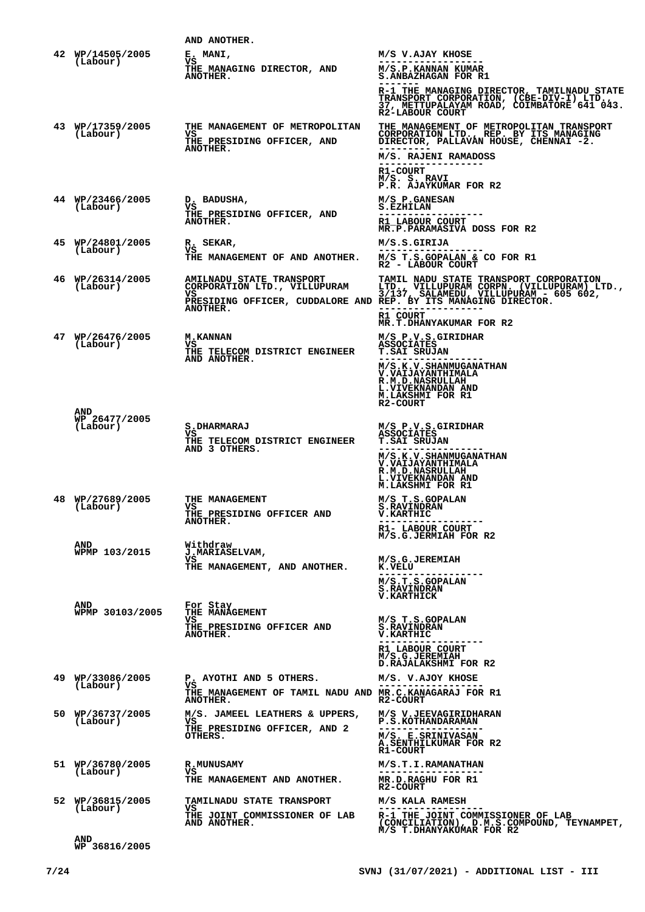|                                  | AND ANOTHER.                                                                                        |                                                                                                                                                                                                                                                                                    |
|----------------------------------|-----------------------------------------------------------------------------------------------------|------------------------------------------------------------------------------------------------------------------------------------------------------------------------------------------------------------------------------------------------------------------------------------|
| 42 WP/14505/2005<br>(Labour)     | E. MANI,<br>vs<br>THE MANAGING DIRECTOR, AND<br>ANOTHER.                                            | M/S V.AJAY KHOSE<br>M/S.P.KANNAN KUMAR<br>S.ANBAZHAGAN FOR R1<br>R-1 THE MANAGING DIRECTOR, TAMILNADU STATE<br>TRANSPORT CORPORATION, (CBE-DIV-I) LTD.,<br>R2-LABOUR COURT                                                                                                         |
| 43 WP/17359/2005<br>(Labour)     | THE MANAGEMENT OF METROPOLITAN<br>vs<br>THE PRESIDING OFFICER, AND<br>ANOTHER.                      | <b>THE MANAGEMENT OF METROPOLITAN TRANSPORT</b><br>CORPORATION LTD., REP. BY ITS MANAGING<br>DIRECTOR, PALLAVAN HOUSE, CHENNAI -2.<br>M/S. RAJENI RAMADOSS<br>R1-COURT<br>M/S. S. RAVI<br>P.R. AJAYKUMAR FOR R2                                                                    |
| 44 WP/23466/2005<br>(Labour)     | D. BADUSHA,<br>vs<br>THE PRESIDING OFFICER, AND<br>ANOTHER.                                         | M/S P.GANESAN<br><b>S.EZHILAN</b><br>R1 LABOUR COURT<br>MR.P.PARAMASIVA DOSS FOR R2                                                                                                                                                                                                |
| 45 WP/24801/2005<br>(Labour)     | R. SEKAR,<br>vs<br>THE MANAGEMENT OF AND ANOTHER.                                                   | M/S.S.GIRIJA<br>M/S T.S.GOPALAN & CO FOR R1<br>R2 - LABOUR COURT                                                                                                                                                                                                                   |
| 46 WP/26314/2005<br>(Labour)     | <b>AMILNADU STATE TRANSPORT</b><br>ANOTHER.                                                         | <b>TAMIL NADU STATE TRANSPORT CORPORATION</b><br>CORPORATION LTD., VILLUPURAM LTD., VILLUPURAM CORPN. (VILLUPURAM) LTD., VS<br>VS 3/137, SALAMEDU, VILLUPURAM - 605 602,<br>PRESIDING OFFICER, CUDDALORE AND REP. BY ITS MANAGING DIRECTOR.<br>R1 COURT<br>MR.T.DHANYAKUMAR FOR R2 |
| 47 WP/26476/2005<br>(Labour)     | <b>M.KANNAN</b><br>VS<br>THE TELECOM DISTRICT ENGINEER<br>AND ANOTHER.                              | M/S P.V.S.GIRIDHAR<br><b>ASSOCIATES</b><br><b>T.SAI SRUJAN</b><br>M/S.K.V.SHANMUGANATHAN<br><b>V.VAIJAYANTHIMALA</b><br>R.M.D.NASRULLAH<br>L.VIVEKNANDAN AND<br>M.LAKSHMI FOR R1<br>R2-COURT                                                                                       |
| AND<br>WP 26477/2005<br>(Labour) | <b>S.DHARMARAJ</b><br>VS<br>THE TELECOM DISTRICT ENGINEER<br>AND 3 OTHERS.                          | M/S P.V.S.GIRIDHAR<br><b>ASSOCIATES</b><br><b>T.SAI SRUJAN</b><br>M/S.K.V.SHANMUGANATHAN<br>V.VAIJAYANTHIMALA<br><b>R.M.D.NASRULLAH</b><br>L.VIVEKNANDAN AND<br><b>M.LAKSHMI FOR R1</b>                                                                                            |
| 48 WP/27689/2005<br>(Labour)     | THE MANAGEMENT<br>VS.<br>THE PRESIDING OFFICER AND<br><b>ANOTHER.</b>                               | M/S T.S.GOPALAN<br><b>S.RAVINDRAN</b><br><b>V.KARTHIC</b><br>R1- LABOUR COURT<br>M/S.G.JERMIAH FOR R2                                                                                                                                                                              |
| AND<br>WPMP 103/2015             | Withdraw<br><b>J.MARIASELVAM,</b><br>vs<br>THE MANAGEMENT, AND ANOTHER.                             | M/S.G.JEREMIAH<br>K.VELU<br>M/S.T.S.GOPALAN<br><b>S.RAVINDRAN</b><br><b>V.KARTHICK</b>                                                                                                                                                                                             |
| AND<br>WPMP 30103/2005           | For Stay<br>THE MANAGEMENT<br>VS<br>THE PRESIDING OFFICER AND<br><b>ANOTHER.</b>                    | M/S T.S.GOPALAN<br><b>S.RAVINDRAN</b><br><b>V.KARTHIC</b><br>R1 LABOUR COURT<br>M/S.G.JEREMIAH<br>D.RAJALAKSHMI FOR R2                                                                                                                                                             |
| 49 WP/33086/2005<br>(Labour)     | P. AYOTHI AND 5 OTHERS.<br>vs<br>THE MANAGEMENT OF TAMIL NADU AND MR.C.KANAGARAJ FOR R1<br>ANOTHER. | M/S. V.AJOY KHOSE<br>R2-COURT                                                                                                                                                                                                                                                      |
| 50 WP/36737/2005<br>(Labour)     | M/S. JAMEEL LEATHERS & UPPERS,<br>vs<br>THE PRESIDING OFFICER, AND 2<br>OTHERS.                     | M/S V.JEEVAGIRIDHARAN<br><b>P.S.KOTHANDARAMAN</b><br>M/S. E.SRINIVASAN<br>A.SENTHILKUMAR FOR R2<br><b>R1-COURT</b>                                                                                                                                                                 |
| 51 WP/36780/2005<br>(Labour)     | <b>R.MUNUSAMY</b><br>VS<br>THE MANAGEMENT AND ANOTHER.                                              | M/S.T.I.RAMANATHAN<br>MR.D.RAGHU FOR R1<br>R2-COURT                                                                                                                                                                                                                                |
| 52 WP/36815/2005<br>(Labour)     | <b>TAMILNADU STATE TRANSPORT</b><br>VS<br>THE JOINT COMMISSIONER OF LAB<br>AND ANOTHER.             | M/S KALA RAMESH<br>R-1 THE JOINT COMMISSIONER OF LAB<br>(CONCILIATION), D.M.S.COMPOUND, TEYNAMPET,                                                                                                                                                                                 |
| <b>AND</b>                       |                                                                                                     | M/S T.DHANYAKUMAR FOR R2                                                                                                                                                                                                                                                           |

**AND WP 36816/2005**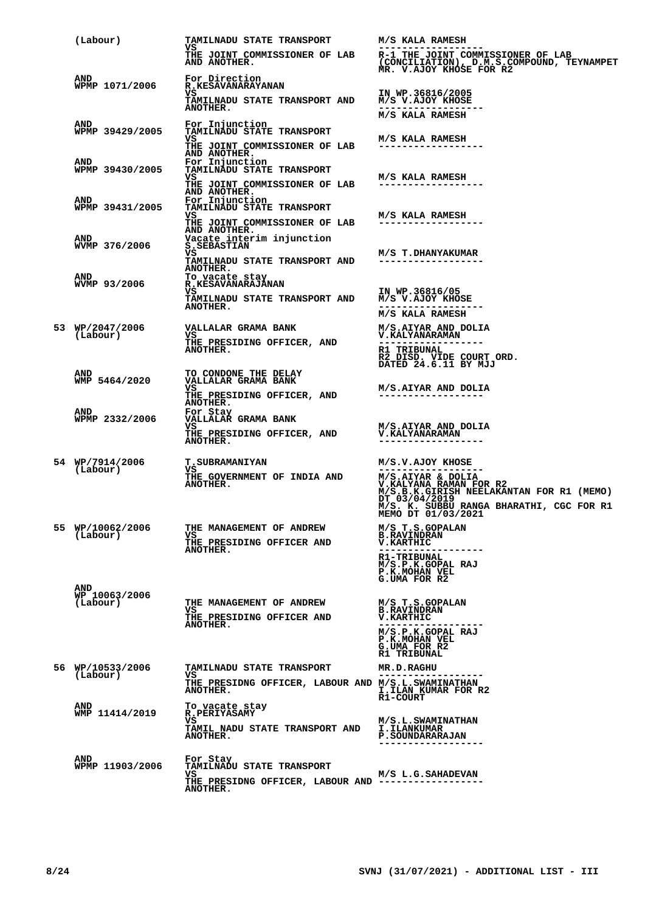|  | (Labour)                         | <b>TAMILNADU STATE TRANSPORT</b><br>VS                                                  | M/S KALA RAMESH                                                                                                                         |
|--|----------------------------------|-----------------------------------------------------------------------------------------|-----------------------------------------------------------------------------------------------------------------------------------------|
|  |                                  | AND ANOTHER.                                                                            | THE JOINT COMMISSIONER OF LAB R-1 THE JOINT COMMISSIONER OF LAB<br>(CONCILIATION), D.M.S.COMPOUND, TEYNAMPET<br>MR. V.AJOY KHOSE FOR R2 |
|  | <b>AND</b><br>WPMP 1071/2006     | For Direction<br><b>R.KESAVANARAYANAN</b>                                               |                                                                                                                                         |
|  |                                  | vs<br><b>TAMILNADU STATE TRANSPORT AND</b><br>ANOTHER.                                  | IN WP.36816/2005<br>M/S V.AJOY KHOSE<br>M/S KALA RAMESH                                                                                 |
|  | AND                              | For Injunction                                                                          |                                                                                                                                         |
|  | WPMP 39429/2005                  | <b>TAMILNADU STATE TRANSPORT</b><br>VS<br>THE JOINT COMMISSIONER OF LAB<br>AND ANOTHER. | M/S KALA RAMESH                                                                                                                         |
|  | <b>AND</b><br>WPMP 39430/2005    | For Injunction<br>TAMILNĀDU STATE TRANSPORT<br>VS.                                      | M/S KALA RAMESH                                                                                                                         |
|  |                                  | THE JOINT COMMISSIONER OF LAB<br>AND ANOTHER.                                           | ------------------                                                                                                                      |
|  | AND<br>WPMP 39431/2005           | For Injunction<br>TAMILNADU STATE TRANSPORT<br>VS.                                      | M/S KALA RAMESH                                                                                                                         |
|  | AND                              | THE JOINT COMMISSIONER OF LAB<br>AND ANOTHER.                                           | ------------------                                                                                                                      |
|  | WVMP 376/2006                    | Vacate interim injunction<br>S.SEBASTIAN<br>VS                                          | M/S T.DHANYAKUMAR                                                                                                                       |
|  | AND                              | TAMILNADU STATE TRANSPORT AND<br><b>ANOTHER.</b><br>To vacate stay                      | ------------------                                                                                                                      |
|  | WVMP 93/2006                     | <b>R.KESAVANARAJĀNAN</b><br>VS.<br>TAMILNADU STATE TRANSPORT AND M/S V.AJOY KHOSE       | IN WP.36816/05                                                                                                                          |
|  |                                  | ANOTHER.                                                                                | M/S KALA RAMESH                                                                                                                         |
|  | 53 WP/2047/2006<br>(Labour)      | VALLALAR GRAMA BANK<br>VS                                                               | M/S.AIYAR AND DOLIA<br>V.KALYANARAMAN                                                                                                   |
|  |                                  | THE PRESIDING OFFICER, AND<br>ANOTHER.                                                  | <b>R1 TRIBUNAL</b><br>R2 DISD. VIDE COURT ORD.<br>DATED 24.6.11 BY MJJ                                                                  |
|  | AND<br>WMP 5464/2020             | TO CONDONE THE DELAY<br>VALLALAR GRAMA BANK                                             |                                                                                                                                         |
|  |                                  | vs<br>THE PRESIDING OFFICER, AND<br><b>ANOTHER.</b>                                     | M/S.AIYAR AND DOLIA<br>------------------                                                                                               |
|  | AND<br>WPMP 2332/2006            | For Stay<br>VALLALAR GRAMA BANK                                                         |                                                                                                                                         |
|  |                                  | VS<br>THE PRESIDING OFFICER, AND<br><b>ANOTHER.</b>                                     | M/S.AIYAR AND DOLIA<br><b>V.KALYANARAMAN</b><br>------------------                                                                      |
|  | 54 WP/7914/2006                  | <b>T.SUBRAMANIYAN</b>                                                                   | M/S.V.AJOY KHOSE                                                                                                                        |
|  | (Labour)                         | VS<br>THE GOVERNMENT OF INDIA AND<br>ANOTHER.                                           | M/S.AIYAR & DOLIA<br>V.KALYANA RAMAN FOR R2<br>M/S.B.K.GIRISH NEELAKANTAN FOR R1 (MEMO)                                                 |
|  |                                  |                                                                                         | DT 03/04/2019<br>M/S. K. SUBBU RANGA BHARATHI, CGC FOR R1<br>MEMO DT 01/03/2021                                                         |
|  | 55 WP/10062/2006<br>(Labour)     | THE MANAGEMENT OF ANDREW<br>vs.<br>THE PRESIDING OFFICER AND                            | M/S T.S.GOPALAN<br><b>B.RAVINDRAN</b><br><b>V.KARTHIC</b>                                                                               |
|  |                                  | <b>ANOTHER.</b>                                                                         | <b>R1-TRIBUNAL</b><br>M/S.P.K.GOPAL RAJ                                                                                                 |
|  |                                  |                                                                                         | P.K.MOHAN VEL<br>G.UMA FOR R2                                                                                                           |
|  | AND<br>WP 10063/2006<br>(Labour) | THE MANAGEMENT OF ANDREW                                                                | M/S T.S.GOPALAN                                                                                                                         |
|  |                                  | VS.<br>THE PRESIDING OFFICER AND<br>ANOTHER.                                            | <b>B.RAVINDRAN</b><br><b>V.KARTHIC</b>                                                                                                  |
|  |                                  |                                                                                         | M/S.P.K.GOPAL RAJ<br>P.K.MOHAN VEL<br>G.UMA FOR R2<br><b>R1 TRIBUNAL</b>                                                                |
|  | 56 WP/10533/2006                 | <b>TAMILNADU STATE TRANSPORT</b>                                                        | <b>MR.D.RAGHU</b>                                                                                                                       |
|  | (Labour)                         | VS.<br>THE PRESIDNG OFFICER, LABOUR AND M/S.L.SWAMINATHAN<br>ANOTHER.                   | I.ILAN KUMAR FOR R2<br>R1-COURT                                                                                                         |
|  | <b>AND</b><br>WMP 11414/2019     | To vacate stay<br><b>R.PERIYASAMY</b>                                                   |                                                                                                                                         |
|  |                                  | VS<br>TAMIL NADU STATE TRANSPORT AND<br>ANOTHER.                                        | M/S.L.SWAMINATHAN<br><b>I.ILANKUMAR</b><br><b>P. SOUNDARARAJAN</b><br>.                                                                 |
|  | AND<br>WPMP 11903/2006           | For Stay<br><b>TAMILNADU STATE TRANSPORT</b>                                            |                                                                                                                                         |
|  |                                  | VS.<br>THE PRESIDNG OFFICER, LABOUR AND ---------------<br><b>ANOTHER.</b>              | M/S L.G.SAHADEVAN                                                                                                                       |
|  |                                  |                                                                                         |                                                                                                                                         |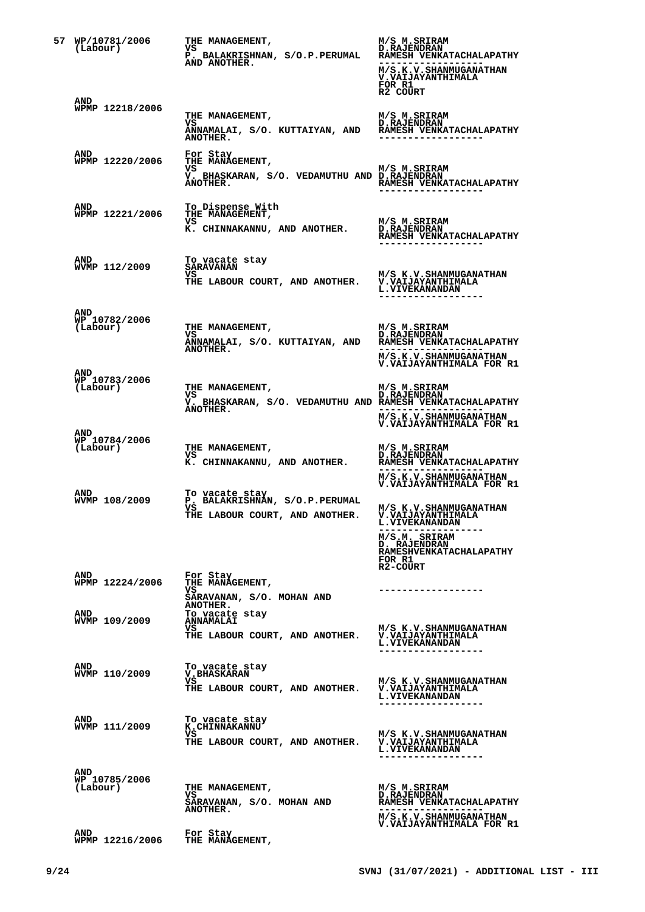| 57 WP/10781/2006<br>(Labour)            | THE MANAGEMENT,<br>VS<br>P. BALAKRISHNAN, S/O.P.PERUMAL RAMESH VENKATACHALAPATHY<br>AND ANOTHER.         | M/S M.SRIRAM<br><b>D.RAJENDRAN</b><br>M/S.K.V.SHANMUGANATHAN<br><b>V.VAIJAYANTHIMALA</b><br>FOR R1<br>R2 COURT                                                                      |
|-----------------------------------------|----------------------------------------------------------------------------------------------------------|-------------------------------------------------------------------------------------------------------------------------------------------------------------------------------------|
| AND<br>WPMP 12218/2006                  | THE MANAGEMENT,<br>VS<br>ANNAMALAI, S/O. KUTTAIYAN, AND KAMESH VENKATACHALAPATHY<br>ANOTHER.             | M/S M.SRIRAM<br><b>D.RAJENDRAN</b><br>.                                                                                                                                             |
| AND<br>WPMP 12220/2006                  | For Stay<br>THE MANAGEMENT,<br>VS.<br>V. BHASKARAN, S/O. VEDAMUTHU AND D.RAJENDRAN<br>ANOTHER.           | M/S M.SRIRAM<br><b>RAMESH VENKATACHALAPATHY</b><br>-------------------                                                                                                              |
| <b>AND</b><br>WPMP 12221/2006           | To Dispense With<br>THE MANAGEMENT,<br>VS<br>K. CHINNAKANNU, AND ANOTHER.                                | M/S M.SRIRAM<br><b>D.RAJENDRAN</b><br>RAMESH VENKATACHALAPATHY                                                                                                                      |
| <b>AND</b><br>WVMP 112/2009             | To vacate stay<br><b>SARAVANAN</b><br>VS<br>THE LABOUR COURT, AND ANOTHER. V.VAIJAYANTHIMALA             | M/S K.V.SHANMUGANATHAN<br><b>L.VIVEKANANDAN</b>                                                                                                                                     |
| <b>AND</b><br>WP 10782/2006<br>(Labour) | THE MANAGEMENT,<br>VS D'AAJENDRAN<br>ANNAMALAI, S/O. KUTTAIYAN, AND RAMESH VENKATACHALAPATHY<br>ANOTHER. | M/S M.SRIRAM<br>--------------<br>M/S.K.V.SHANMUGANATHAN<br>V.VAIJAYANTHIMALA FOR R1                                                                                                |
| AND<br>WP 10783/2006<br>(Labour)        | THE MANAGEMENT,<br>VS<br>V. BHASKARAN, S/O. VEDAMUTHU AND RAMESH VENKATACHALAPATHY<br>ANOTHER.           | M/S M.SRIRAM<br><b>D.RAJENDRAN</b><br>-------------------<br>M/S.K.V.SHANMUGANATHAN<br>V.VAIJAYANTHIMALA FOR R1                                                                     |
| <b>AND</b><br>WP 10784/2006<br>(Labour) | THE MANAGEMENT,<br>vs<br>K. CHINNAKANNU, AND ANOTHER.                                                    | M/S M.SRIRAM<br><b>D.RAJENDRAN</b><br><b>RAMESH VENKATACHALAPATHY</b><br>M/S.K.V.SHANMUGANATHAN<br>V. VALJAYANTHIMALA FOR R1                                                        |
| AND<br>WVMP 108/2009                    | To vacate stay<br>P. BALAKRISHNAN, S/O.P.PERUMAL<br>VS<br>THE LABOUR COURT, AND ANOTHER.                 | M/S K.V. SHANMUGANATHAN<br><b>V.VAIJAYANTHIMALA</b><br><b>L.VIVEKANANDAN</b><br>M/S.M. SRIRAM<br><b>D. RAJENDRAN</b><br><b>RAMESHVENKATACHALAPATHY</b><br>FOR R1<br><b>R2-COURT</b> |
| AND<br>WPMP 12224/2006                  | For Stay<br>THE MANAGEMENT,<br>vs<br>SARAVANAN, S/O. MOHAN AND<br>ANOTHER.                               | -----------------                                                                                                                                                                   |
| AND<br>WVMP 109/2009                    | To vacate stay<br><b>ANNAMALAI</b><br>vs<br>THE LABOUR COURT, AND ANOTHER.                               | M/S K.V. SHANMUGANATHAN<br><b>V.VAIJAYANTHIMALA</b><br><b>L.VIVEKANANDAN</b><br>. _ _ _ _ _ _ _ _ _ _ _ _ _ _ _ _ _ _                                                               |
| AND<br>WVMP 110/2009                    | To vacate stay<br><b>V.BHASKARAN</b><br>vs<br>THE LABOUR COURT, AND ANOTHER.                             | M/S K.V. SHANMUGANATHAN<br><b>V.VAIJAYANTHIMALA</b><br><b>L.VIVEKANANDAN</b><br>------------------                                                                                  |
| AND<br>WVMP 111/2009                    | To vacate stay<br><b>K.CHINNAKANNU</b><br>vs<br>THE LABOUR COURT, AND ANOTHER.                           | M/S K.V. SHANMUGANATHAN<br>V. VAIJAYANTHIMALA<br><b>L. VIVEKANANDAN</b>                                                                                                             |
| AND<br>WP 10785/2006<br>(Labour)        | THE MANAGEMENT,<br>VS.<br>SARAVANAN, S/O. MOHAN AND<br><b>ANOTHER.</b>                                   | M/S M.SRIRAM<br><b>D.RAJENDRAN</b><br>RAMESH VENKATACHALAPATHY<br>.<br>M/S.K.V.SHANMUGANATHAN<br>V.VAIJAYANTHIMALA FOR R1                                                           |
| AND<br>WPMP 12216/2006                  | For Stay<br>THE MANAGEMENT,                                                                              |                                                                                                                                                                                     |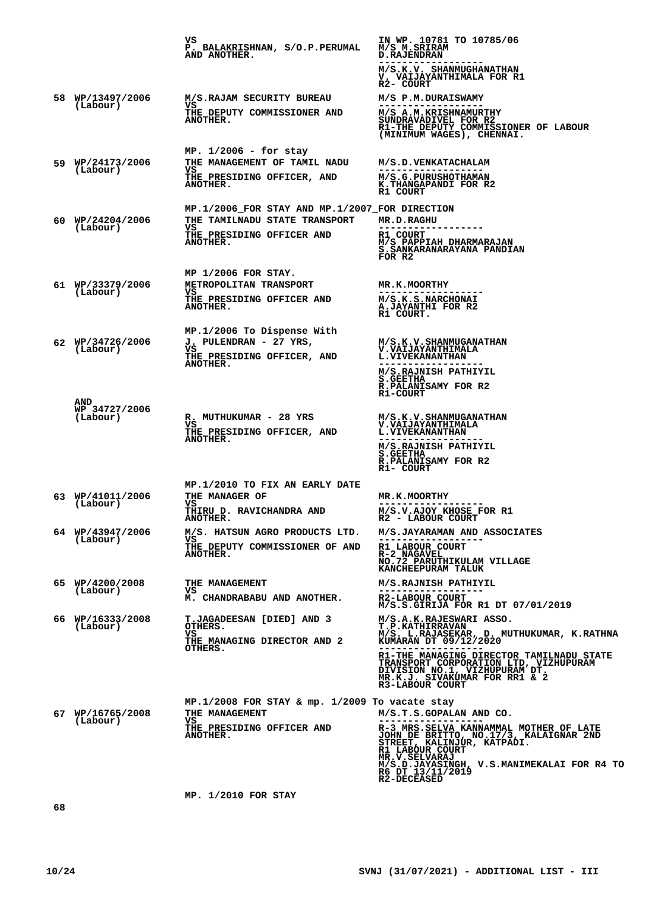**VS P. BALAKRISHNAN, S/O.P.PERUMAL AND ANOTHER. IN WP. 10781 TO 10785/06 M/S M.SRIRAM D.RAJENDRAN ------------------ M/S.K.V. SHANMUGHANATHAN V. VAIJAYANTHIMALA FOR R1 R2- COURT 58 WP/13497/2006 (Labour) M/S.RAJAM SECURITY BUREAU VS THE DEPUTY COMMISSIONER AND ANOTHER. M/S P.M.DURAISWAMY** ----------------<br>M/S A.M.KRISHNAMURTHY<br>SUNDRAVADIVEL FOR R2<br>R1-THE DEPUTY COMMISSIONER OF LABOUR<br>(MINIMUM WAGES), CHENNAI. **59 MP. 1/2006 - for stay WP/24173/2006 (Labour) THE MANAGEMENT OF TAMIL NADU VS THE PRESIDING OFFICER, AND ANOTHER. M/S.D.VENKATACHALAM ------------------ M/S.G.PURUSHOTHAMAN K.THANGAPANDI FOR R2 R1 COURT 60 MP.1/2006\_FOR STAY AND MP.1/2007\_FOR DIRECTION WP/24204/2006 (Labour) THE TAMILNADU STATE TRANSPORT VS THE PRESIDING OFFICER AND ANOTHER. MR.D.RAGHU** -----------------<br>R1 COURT<br>M/S PAPPIAH DHARMARAJAN<br>S.SANKARANARAYANA PANDIAN **FOR R2 61 MP 1/2006 FOR STAY. WP/33379/2006 (Labour) METROPOLITAN TRANSPORT VS THE PRESIDING OFFICER AND ANOTHER. MR.K.MOORTHY ------------------ M/S.K.S.NARCHONAI A.JAYANTHI FOR R2 R1 COURT. 62 MP.1/2006 To Dispense With WP/34726/2006 (Labour) J. PULENDRAN - 27 YRS, VS THE PRESIDING OFFICER, AND ANOTHER. M/S.K.V.SHANMUGANATHAN V.VAIJAYANTHIMALA L.VIVEKANANTHAN ------------------ M/S.RAJNISH PATHIYIL S.GEETHA R.PALANISAMY FOR R2 R1-COURT AND WP 34727/2006 (Labour) R. MUTHUKUMAR - 28 YRS R**<sub>S</sub> **THE PRESIDING OFFICER, AND ANOTHER. M/S.K.V.SHANMUGANATHAN V.VAIJAYANTHIMALA L.VIVEKANANTHAN ------------------ M/S.RAJNISH PATHIYIL S.GEETHA R.PALANISAMY FOR R2 R1- COURT 63 MP.1/2010 TO FIX AN EARLY DATE WP/41011/2006 (Labour) THE MANAGER OF VS THIRU D. RAVICHANDRA AND ANOTHER. MR.K.MOORTHY ------------------ M/S.V.AJOY KHOSE FOR R1 R2 - LABOUR COURT 64 WP/43947/2006 (Labour) M/S. HATSUN AGRO PRODUCTS LTD. VS THE DEPUTY COMMISSIONER OF AND ANOTHER. M/S.JAYARAMAN AND ASSOCIATES ------------------ R1 LABOUR COURT R-2 NAGAVEL NO.72 PARUTHIKULAM VILLAGE KANCHEEPURAM TALUK 65 WP/4200/2008 (Labour) THE MANAGEMENT VS M. CHANDRABABU AND ANOTHER. M/S.RAJNISH PATHIYIL ------------------ R2-LABOUR COURT M/S.S.GIRIJA FOR R1 DT 07/01/2019 66 WP/16333/2008 (Labour) T.JAGADEESAN [DIED] AND 3 OTHERS. VS THE MANAGING DIRECTOR AND 2 OTHERS. M/S.A.K.RAJESWARI ASSO. T.P.KATHIRRAVAN M/S. L.RAJASEKAR, D. MUTHUKUMAR, K.RATHNA KUMARAN DT 09/12/2020 ------------------ R1-THE MANAGING DIRECTOR TAMILNADU STATE TRANSPORT CORPORATION LTD, VIZHUPURAM DIVISION NO.1, VIZHUPURAM DT. MR.K.J. SIVAKUMAR FOR RR1 & 2 R3-LABOUR COURT 67 MP.1/2008 FOR STAY & mp. 1/2009 To vacate stay WP/16765/2008 (Labour) THE MANAGEMENT VS THE PRESIDING OFFICER AND ANOTHER. M/S.T.S.GOPALAN AND CO. ------------------ R-3 MRS.SELVA KANNAMMAL MOTHER OF LATE JOHN DE BRITTO, NO.17/3, KALAIGNAR 2ND STREET, KALINJUR, KATPADI. R1 LABOUR COURT MR.V.SELVARAJ M/S.D.JAYASINGH, V.S.MANIMEKALAI FOR R4 TO R6 DT 13/11/2019 R2-DECEASED**

**MP. 1/2010 FOR STAY**

**68**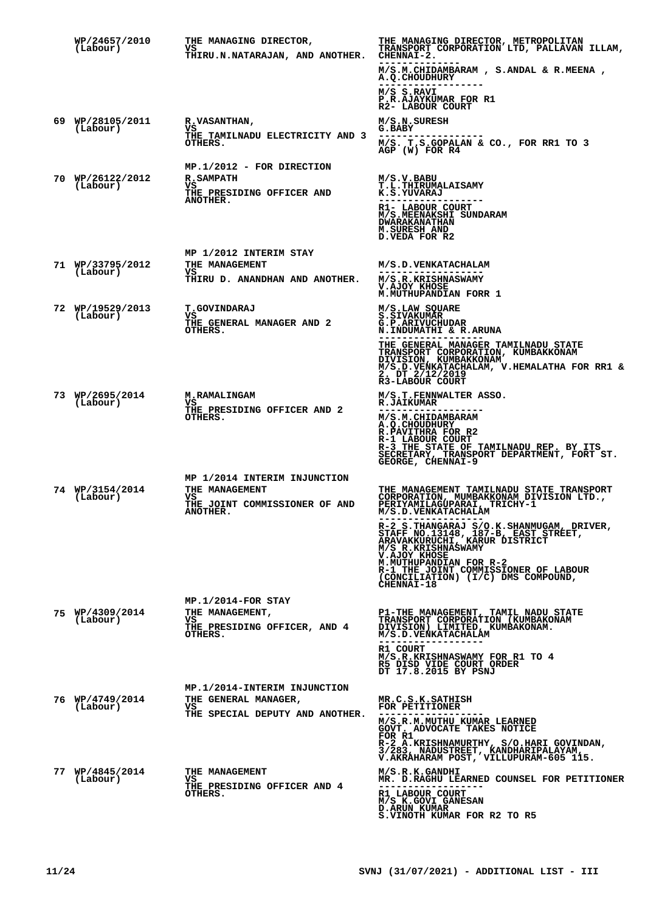| WP/24657/2010<br>(Labour)    | THE MANAGING DIRECTOR,<br>vs<br>THIRU.N.NATARAJAN, AND ANOTHER.                                      | THE MANAGING DIRECTOR, METROPOLITAN<br>TRANSPORT CORPORATION LTD, PALLAVAN ILLAM,<br>CHENNAI-2.<br>M/S.M.CHIDAMBARAM, S.ANDAL & R.MEENA,<br><b>A.Q.CHOUDHURY</b>                                                                                                                                                                                                                                                                  |
|------------------------------|------------------------------------------------------------------------------------------------------|-----------------------------------------------------------------------------------------------------------------------------------------------------------------------------------------------------------------------------------------------------------------------------------------------------------------------------------------------------------------------------------------------------------------------------------|
|                              |                                                                                                      | M/S S.RAVI<br>P.R.AJAYKUMAR FOR R1<br>R2- LABOUR COURT                                                                                                                                                                                                                                                                                                                                                                            |
| 69 WP/28105/2011<br>(Labour) | <b>R.VASANTHAN,</b><br>vs<br>THE TAMILNADU ELECTRICITY AND 3<br>OTHERS.                              | M/S.N.SURESH<br>G.BABY<br>M/S. T.S.GOPALAN & CO., FOR RR1 TO 3<br>AGP (W) FOR R4                                                                                                                                                                                                                                                                                                                                                  |
| 70 WP/26122/2012<br>(Labour) | MP.1/2012 - FOR DIRECTION<br><b>R.SAMPATH</b><br>VS.<br>THE PRESIDING OFFICER AND<br><b>ANOTHER.</b> | M/S.V.BABU<br><b>T.L.THIRUMALAISAMY</b><br>K.S.YUVARAJ<br>R1- LABOUR COURT<br>M/S. MEENAKSHI SUNDARAM<br><b>DWARAKANATHAN</b><br>M. SURESH AND<br>D. VEDA FOR R2                                                                                                                                                                                                                                                                  |
| 71 WP/33795/2012<br>(Labour) | MP 1/2012 INTERIM STAY<br>THE MANAGEMENT<br>vs<br>THIRU D. ANANDHAN AND ANOTHER.                     | M/S.D.VENKATACHALAM<br>------------------<br>M/S.R.KRISHNASWAMY<br>V.AJOY KHOSE<br>M. MUTHUPANDIAN FORR 1                                                                                                                                                                                                                                                                                                                         |
| 72 WP/19529/2013<br>(Labour) | <b>T.GOVINDARAJ</b><br>VS.<br>THE GENERAL MANAGER AND 2<br>OTHERS.                                   | M/S.LAW SQUARE<br><b>S.SIVAKUMAR</b><br>G.P.ARIVUCHUDAR<br>N.INDUMATHI & R.ARUNA<br>THE GENERAL MANAGER TAMILNADU STATE<br>TRANSPORT CORPORATION, KUMBAKKONAM<br>DIVISION, KUMBAKKONAM<br>M/S.D.VENKATACHALAM, V.HEMALATHA FOR RR1 &<br>2. DT_2/12/2019<br>R3-LABOUR COURT                                                                                                                                                        |
| 73 WP/2695/2014<br>(Labour)  | <b>M.RAMALINGAM</b><br>VS.<br>THE PRESIDING OFFICER AND 2<br>OTHERS.                                 | M/S.T.FENNWALTER ASSO.<br><b>R.JAIKUMAR</b><br>M/S.M.CHIDAMBARAM<br>A.Q.CHOUDHURY<br>R. PAVITHRA FOR R2<br>R-1 LABOUR COURT<br>R-3 THE STATE OF TAMILNADU REP. BY ITS<br>SECRETARY, TRANSPORT DEPARTMENT, FORT ST.<br>GEORGE, CHENNAI-9                                                                                                                                                                                           |
| 74 WP/3154/2014<br>(Labour)  | MP 1/2014 INTERIM INJUNCTION<br>THE MANAGEMENT<br>vs<br>THE JOINT COMMISSIONER OF AND<br>ANOTHER.    | THE MANAGEMENT TAMILNADU STATE TRANSPORT<br>CORPORATION, MUMBAKKONAM DIVISION LTD.,<br>PERIYAMILAGUPARAI, TRICHY-1<br>M/S.D. VENKATACHALAM<br>R-2 S.THANGARAJ S/O.K.SHANMUGAM, DRIVER,<br>STAFF NO.13148, 187-B, EAST STREET,<br>ARAVAKKURUCHI, KARUR DISTRICT<br>M/S R.KRISHNASWAMY<br>V.AJOY KHOSE<br>M.MUTHUPANDIAN FOR R-2<br>R-1 THE JOINT COMMISSIONER OF LABOUR<br>(CONCILIATION) (I/C) DMS COMPOUND,<br><b>CHENNAI-18</b> |
| 75 WP/4309/2014<br>(Labour)  | MP.1/2014-FOR STAY<br>THE MANAGEMENT,<br>vs<br>THE PRESIDING OFFICER, AND 4<br>OTHERS.               | P1-THE MANAGEMENT, TAMIL NADU STATE<br>TRANSPORT CORPORATION (KUMBAKONAM<br>DIVISION) LIMITED, KUMBAKONAM.<br>M/S.D. VENKATACHALAM<br>R1 COURT<br>M/S.R.KRISHNASWAMY FOR R1 TO 4<br>R5 DISD VIDE COURT ORDER<br>DT 17.8.2015 BY PSNJ                                                                                                                                                                                              |
| 76 WP/4749/2014<br>(Labour)  | MP.1/2014-INTERIM INJUNCTION<br>THE GENERAL MANAGER,<br>VS.<br>THE SPECIAL DEPUTY AND ANOTHER.       | MR.C.S.K.SATHISH<br>FOR PETITIONER<br>M/S.R.M.MUTHU KUMAR LEARNED<br>GOVT. ADVOCATE TAKES NOTICE<br>FOR R1<br>R-2 A.KRISHNAMURTHY, S/O.HARI GOVINDAN,<br>3/283, NADUSTREET, KANDHARIPALAYAM,<br>V.AKRAHARAM POST, VILLUPURAM-605 115.                                                                                                                                                                                             |
| 77 WP/4845/2014<br>(Labour)  | THE MANAGEMENT<br>VS<br>THE PRESIDING OFFICER AND 4<br>OTHERS.                                       | M/S.R.K.GANDHI<br>MR. D.RAGHU LEARNED COUNSEL FOR PETITIONER<br>R1 LABOUR COURT<br>M/S K.GOVI GANESAN<br><b>D.ARUN KUMAR</b><br>S.VINOTH KUMAR FOR R2 TO R5                                                                                                                                                                                                                                                                       |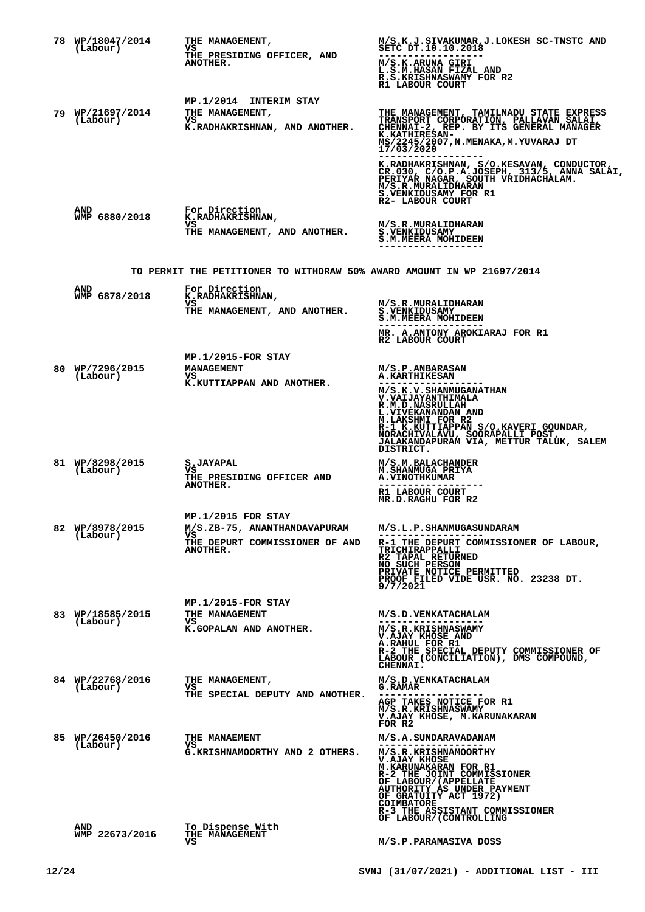| 78 WP/18047/2014<br>(Labour) | <b>THE MANAGEMENT,</b><br>vs                                           | M/S.K.J.SIVAKUMAR,J.LOKESH SC-TNSTC AND<br>SETC DT.10.10.2018                                                                                                                                                                                             |
|------------------------------|------------------------------------------------------------------------|-----------------------------------------------------------------------------------------------------------------------------------------------------------------------------------------------------------------------------------------------------------|
|                              | THE PRESIDING OFFICER, AND<br>ANOTHER.                                 | M/S.K.ARUNA GIRI<br>L.S.M.HASAN FIZAL AND<br>R.S.KRISHNASWAMY FOR R2<br>R1 LABOUR COURT                                                                                                                                                                   |
|                              | MP.1/2014 INTERIM STAY                                                 |                                                                                                                                                                                                                                                           |
| 79 WP/21697/2014<br>(Labour) | <b>THE MANAGEMENT,</b><br>vs<br>K.RADHAKRISHNAN, AND ANOTHER.          | THE MANAGEMENT, TAMILNADU STATE EXPRESS<br>TRANSPORT CORPÓRATION, PALLAVAN SALAI, CHENNAI-2, REP. BY ITS GENERAL MANAGER<br><b>K.KATHIRESAN-</b><br>MS/2245/2007, N. MENAKA, M. YUVARAJ DT<br>17/03/2020                                                  |
|                              |                                                                        | K.RADHAKRISHNAN, S/O.KESAVAN, CONDUCTOR, CR.030, C/O.P.A.JOSEPH, 313/5, ANNA SALAI,<br>PERIYAR NAGAR, SOUTH VRIDHACHALAM.<br>M/S.R.MURALIDHARAN_,<br>S.VENKIDUSAMY FOR R1<br>R2- LABOUR COURT                                                             |
| <b>AND</b><br>WMP 6880/2018  | For Direction<br>K.RADHAKRISHNAN,                                      |                                                                                                                                                                                                                                                           |
|                              | vs<br>THE MANAGEMENT, AND ANOTHER.                                     | M/S.R.MURALIDHARAN<br><b>S.VENKIDUSAMY</b><br><b>S.M.MEERA MOHIDEEN</b>                                                                                                                                                                                   |
|                              | TO PERMIT THE PETITIONER TO WITHDRAW 50% AWARD AMOUNT IN WP 21697/2014 |                                                                                                                                                                                                                                                           |
| <b>AND</b><br>WMP 6878/2018  | For Direction<br>K.RADHAKRISHNAN,                                      |                                                                                                                                                                                                                                                           |
|                              | vs<br>THE MANAGEMENT, AND ANOTHER.                                     | M/S.R.MURALIDHARAN<br><b>S.VENKIDUSAMY</b><br>S.M.MEERA MOHIDEEN                                                                                                                                                                                          |
|                              |                                                                        | MR. A.ANTONY AROKIARAJ FOR R1<br>R2 LABOUR COURT                                                                                                                                                                                                          |
|                              | $MP.1/2015-FOR$ STAY                                                   |                                                                                                                                                                                                                                                           |
| 80 WP/7296/2015<br>(Labour)  | <b>MANAGEMENT</b><br>vs                                                | M/S.P.ANBARASAN<br><b>A.KARTHIKESAN</b>                                                                                                                                                                                                                   |
|                              | K.KUTTIAPPAN AND ANOTHER.                                              | M/S.K.V.SHANMUGANATHAN<br><b>V.VAIJAYANTHIMALA</b><br><b>R.M.D.NASRULLAH</b><br>L.VIVEKANANDAN AND<br>M.LAKSHMI FOR R2<br>R-1 K.KUTTIAPPAN S/O.KAVERI GOUNDAR,<br>NORACHIVALAVU, SOORAPALLI POST,<br>JALAKANDAPURAM VIA, METTUR TALUK, SALEM<br>DISTRICT. |
| 81 WP/8298/2015<br>(Labour)  | <b>S.JAYAPAL</b><br>vs                                                 | M/S.M.BALACHANDER<br><b>M.SHANMUGA PRIYA</b>                                                                                                                                                                                                              |
|                              | THE PRESIDING OFFICER AND<br>ANOTHER.                                  | <b>A. VINOTHKUMAR</b><br>R1 LABOUR COURT                                                                                                                                                                                                                  |
|                              |                                                                        | MR.D.RAGHU FOR R2                                                                                                                                                                                                                                         |
| 82 WP/8978/2015              | MP.1/2015 FOR STAY<br>M/S.ZB-75, ANANTHANDAVAPURAM                     | M/S.L.P.SHANMUGASUNDARAM                                                                                                                                                                                                                                  |
| (Labour)                     | VS<br>THE DEPURT COMMISSIONER OF AND<br>ANOTHER.                       | R-1 THE DEPURT COMMISSIONER OF LABOUR,<br>TRICHIRAPPALLI<br>R2 TAPAL RETURNED<br>NO SUCH PERSON<br>PRIVATE NOTICE PERMITTED<br>PROOF FILED VIDE USR. NO. 23238 DT.<br>9/7/2021                                                                            |
|                              | MP.1/2015-FOR STAY                                                     |                                                                                                                                                                                                                                                           |
| 83 WP/18585/2015<br>(Labour) | THE MANAGEMENT<br>VS<br>K.GOPALAN AND ANOTHER.                         | M/S.D.VENKATACHALAM<br>M/S.R.KRISHNASWAMY                                                                                                                                                                                                                 |
|                              |                                                                        | V.AJAY KHOSE AND<br>A.RAHUL FOR R1<br>R-2 THE SPECIAL DEPUTY COMMISSIONER OF<br>LABOUR (CONCILIATION), DMS COMPOUND,<br>CHENNAI.                                                                                                                          |
| 84 WP/22768/2016<br>(Labour) | THE MANAGEMENT,<br>vs                                                  | M/S.D.VENKATACHALAM<br>G.RAMAR                                                                                                                                                                                                                            |
|                              | THE SPECIAL DEPUTY AND ANOTHER.                                        | AGP TAKES NOTICE FOR R1 M/S.R.KRISHNASWAMY<br>V.AJAY KHOSE, M.KARUNAKARAN<br>FOR R2                                                                                                                                                                       |
| 85 WP/26450/2016<br>(Labour) | THE MANAEMENT<br>VS                                                    | M/S.A.SUNDARAVADANAM<br>---------------                                                                                                                                                                                                                   |
|                              | G.KRISHNAMOORTHY AND 2 OTHERS.                                         | M/S.R.KRISHNAMOORTHY<br>V.AJAY KHOSE<br><b>M.KARUNAKARAN FOR R1</b><br>R-2 THE JOINT COMMISSIONER<br>OF LABOUR/(APPELLATE<br>AUTHORITY AS UNDER PAYMENT<br>OF GRATUITY ACT 1972)<br>COIMBATORE<br>R-3 THE ASSISTANT COMMISSIONER                          |
| AND<br>WMP 22673/2016        | To Dispense With<br><b>THE MANAGEMENT</b>                              | OF LABOUR/(CONTROLLING                                                                                                                                                                                                                                    |
|                              | vs                                                                     | M/S.P.PARAMASIVA DOSS                                                                                                                                                                                                                                     |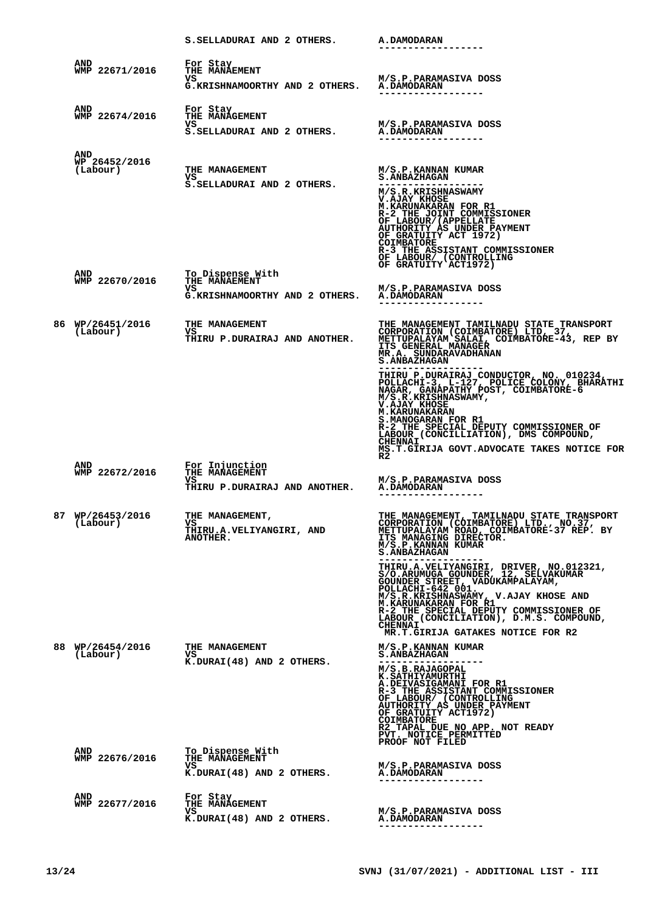|                                  | S. SELLADURAI AND 2 OTHERS. A. DAMODARAN                                      |                                                                                                                                                                                                                                                                                                                                                                           |
|----------------------------------|-------------------------------------------------------------------------------|---------------------------------------------------------------------------------------------------------------------------------------------------------------------------------------------------------------------------------------------------------------------------------------------------------------------------------------------------------------------------|
| AND<br>WMP 22671/2016            | For Stay<br>THE MANAEMENT<br>vs<br>G.KRISHNAMOORTHY AND 2 OTHERS. A.DAMODARAN | M/S.P.PARAMASIVA DOSS                                                                                                                                                                                                                                                                                                                                                     |
| AND<br>WMP 22674/2016            | For Stay<br>THE MANAGEMENT<br>VS.<br>S.SELLADURAI AND 2 OTHERS.               | M/S.P.PARAMASIVA DOSS<br>A.DAMODARAN                                                                                                                                                                                                                                                                                                                                      |
| AND<br>WP 26452/2016<br>(Labour) | THE MANAGEMENT<br>VS<br>S. SELLADURAI AND 2 OTHERS.                           | M/S.P.KANNAN KUMAR<br><b>S . ANBAZHAGAN</b><br>M/S.R.KRISHNASWAMY<br>V.AJAY KHOSE<br><b>M.KARUNAKARAN FOR R1</b><br>R-2 THE JOINT COMMISSIONER<br>OF LABOUR/(APPELLATE<br>AUTHORITY AS UNDER PAYMENT<br>OF GRATUITY ACT 1972)<br><b>COIMBATORE</b><br>R-3 THE ASSISTANT COMMISSIONER<br>OF LABOUR/ (CONTROLLING<br>OF GRATUITY ACT1972)                                   |
| AND<br>WMP 22670/2016            | To Dispense With<br>THE MANAEMENT<br>vs<br>G.KRISHNAMOORTHY AND 2 OTHERS.     | M/S.P.PARAMASIVA DOSS<br><b>A.DAMODARAN</b>                                                                                                                                                                                                                                                                                                                               |
| 86 WP/26451/2016<br>(Labour)     | THE MANAGEMENT<br>VS.<br>THIRU P.DURAIRAJ AND ANOTHER.                        | THE MANAGEMENT TAMILNADU STATE TRANSPORT<br>CORPORATION (COIMBATORE) LTD, 37,<br>METTUPALAYAM SALAI, COIMBATORE-43, REP BY<br>ITS GENERAL MANAGER<br>MR.A. SUNDARAVADHANAN<br><b>S.ANBAZHAGAN</b>                                                                                                                                                                         |
|                                  |                                                                               | THIRU P.DURAIRAJ CONDUCTOR, NO. 010234, POLLACHI-3, L-127, POLICE COLONY, BHARÁTHI<br>NAGAR, GANAPATHY POST, COIMBATORE-6<br>M/S.R.KRISHNASWAMY,<br><b>V.AJAY KHOSE</b><br><b>M. KARUNAKARAN</b><br>S.MANOGARAN FOR R1<br>R-2 THE SPECIAL DEPUTY COMMISSIONER OF<br>LABOUR (CONCILLIATION), DMS COMPOUND,<br><b>CHENNAI</b><br>MS.T.GIRIJA GOVT.ADVOCATE TAKES NOTICE FOR |
| AND<br>WMP 22672/2016            | For Injunction<br>THE MANAGEMENT<br>vs<br>THIRU P.DURAIRAJ AND ANOTHER.       | R2<br>M/S.P.PARAMASIVA DOSS<br><b>A.DAMODARAN</b>                                                                                                                                                                                                                                                                                                                         |
| 87 WP/26453/2016<br>(Labour)     | THE MANAGEMENT,<br>vs<br>THIRU.A.VELIYANGIRI, AND<br>ANOTHER.                 | THE MANAGEMENT, TAMILNADU STATE TRANSPORT<br>CORPORATION (CÓIMBATORE) LTD., NO.37,<br>METTUPALAYAM ROAD, COIMBATORE-37 REP. BY<br>ITS MANAGING DIRECTOR.<br>M/S.P.KANNAN KUMAR<br><b>S. ANBAZHAGAN</b>                                                                                                                                                                    |
|                                  |                                                                               | THIRU.A.VELIYANGIRI, DRIVER, NO.012321,<br>S/O.ARUMUGA GOUNDER, 12, SELVAKUMAR<br>GOUNDER STREET, VADÚKAMPALAYAM,<br>POLLACHI-642 001.<br>M/S.R.KRISHNASWAMY, V.AJAY KHOSE AND<br><b>M.KARUNAKARAN FOR R1</b><br>R-2 THE SPECIAL DEPUTY COMMISSIONER OF LABOUR (CONCILIATION), D.M.S. COMPOUND,<br><b>CHENNAI</b><br>MR.T.GIRIJA GATAKES NOTICE FOR R2                    |
| 88 WP/26454/2016<br>(Labour)     | THE MANAGEMENT<br>VS.<br>K.DURAI(48) AND 2 OTHERS.                            | M/S.P.KANNAN KUMAR<br><b>S.ANBAZHAGAN</b><br>M/S.B.RAJAGOPAL<br>K.SATHIYAMURTHI<br><b>A.DEIVASIGAMANI FOR R1</b><br>R-3 THE ASSISTANT COMMISSIONER<br>OF LABOUR/ (CONTROLLING<br>AUTHORITY AS UNDER PAYMENT<br>OF GRATUITY ACT1972)<br><b>COIMBATORE</b><br>R2 TAPAL DUE NO APP. NOT READY<br>PVT. NOTICE PERMITTED<br>PROOF NOT FILED                                    |
| AND<br>WMP 22676/2016            | To Dispense With<br>THE MANAGEMENT<br>vs<br>K.DURAI(48) AND 2 OTHERS.         | M/S.P.PARAMASIVA DOSS<br><b>A.DAMODARAN</b><br>----------                                                                                                                                                                                                                                                                                                                 |
| AND<br>WMP 22677/2016            | For Stay<br>THE MANAGEMENT<br>vs<br>K.DURAI(48) AND 2 OTHERS.                 | M/S.P.PARAMASIVA DOSS<br>A.DAMODARAN<br>------------------                                                                                                                                                                                                                                                                                                                |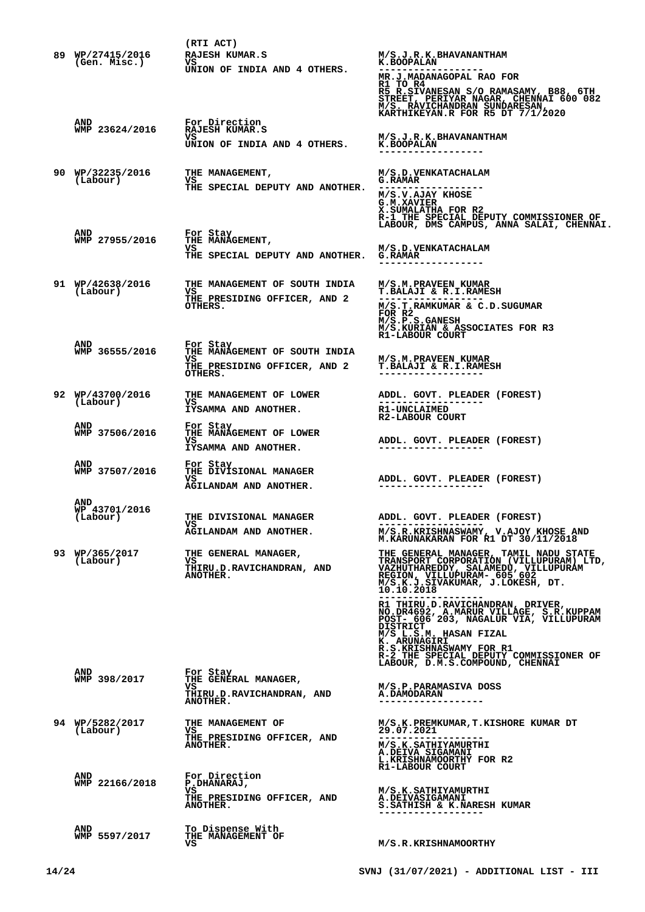|                                         | (RTI ACT)                                                                                  |                                                                                                                                                                                                                                                                                                                                                                                                                                                                                                       |
|-----------------------------------------|--------------------------------------------------------------------------------------------|-------------------------------------------------------------------------------------------------------------------------------------------------------------------------------------------------------------------------------------------------------------------------------------------------------------------------------------------------------------------------------------------------------------------------------------------------------------------------------------------------------|
| 89 WP/27415/2016<br>(Gen. Misc.)        | RAJESH KUMAR.S<br>VS.<br>UNION OF INDIA AND 4 OTHERS.                                      | M/S.J.R.K.BHAVANANTHAM<br><b>K.BOOPALAN</b><br>MR.J.MADANAGOPAL RAO FOR<br>RI TO R4<br>R5 R.SIVANESAN S/O RAMASAMY, B88, 6TH<br>STREET, PERIYAR NAGAR, CHENNAI 600 082<br>M/S. RAVICHANDRAN SUNDARESAN,<br>KARTHIKEYAN.R FOR R5 DT 7/1/2020                                                                                                                                                                                                                                                           |
| AND<br>WMP 23624/2016                   | For Direction<br>RAJESH KUMAR.S<br>VS.<br>UNION OF INDIA AND 4 OTHERS.                     | M/S.J.R.K.BHAVANANTHAM<br><b>K.BOOPALAN</b>                                                                                                                                                                                                                                                                                                                                                                                                                                                           |
| 90 WP/32235/2016<br>(Labour)            | THE MANAGEMENT,<br>VS<br>THE SPECIAL DEPUTY AND ANOTHER.                                   | M/S.D. VENKATACHALAM<br><b>G.RAMAR</b><br>------------------<br>M/S.V.AJAY KHOSE<br>G.M.XAVIER<br>X.SUMALATHA FOR R2<br>R-1 THE SPECIAL DEPUTY COMMISSIONER OF                                                                                                                                                                                                                                                                                                                                        |
| <b>AND</b><br>WMP 27955/2016            | For Stay<br>THE MANAGEMENT,<br>vs.<br>THE SPECIAL DEPUTY AND ANOTHER.                      | LABOUR, DMS CAMPUS, ANNA SALAI, CHENNAI.<br>M/S.D.VENKATACHALAM<br><b>G.RAMAR</b><br>------------------                                                                                                                                                                                                                                                                                                                                                                                               |
| 91 WP/42638/2016<br>(Labour)            | THE MANAGEMENT OF SOUTH INDIA<br>VS<br>THE PRESIDING OFFICER, AND 2<br>OTHERS.             | M/S.M.PRAVEEN KUMAR<br>T. BALAJI & R. I. RAMESH<br>M/S.T.RAMKUMAR & C.D.SUGUMAR<br>FOR R2<br>M/S.P.S.GANESH<br>M/S.KURIAN & ASSOCIATES FOR R3<br>R1-LABOUR COURT                                                                                                                                                                                                                                                                                                                                      |
| AND<br>WMP 36555/2016                   | For Stay<br>THE MANAGEMENT OF SOUTH INDIA<br>vs<br>THE PRESIDING OFFICER, AND 2<br>OTHERS. | M/S.M. PRAVEEN KUMAR<br><b>T.BALAJI &amp; R.I.RAMESH</b>                                                                                                                                                                                                                                                                                                                                                                                                                                              |
| 92 WP/43700/2016<br>(Labour)            | THE MANAGEMENT OF LOWER<br>vs<br>IYSAMMA AND ANOTHER.                                      | ADDL. GOVT. PLEADER (FOREST)<br><b>R1-UNCLAIMED</b><br>R2-LABOUR COURT                                                                                                                                                                                                                                                                                                                                                                                                                                |
| <b>AND</b><br>WMP 37506/2016            | For Stay<br>THE MANAGEMENT OF LOWER<br>vs<br>IYSAMMA AND ANOTHER.                          | ADDL. GOVT. PLEADER (FOREST)                                                                                                                                                                                                                                                                                                                                                                                                                                                                          |
| AND<br>WMP 37507/2016                   | For Stay<br>THE DIVISIONAL MANAGER<br>vs<br>AGILANDAM AND ANOTHER.                         | ADDL. GOVT. PLEADER (FOREST)                                                                                                                                                                                                                                                                                                                                                                                                                                                                          |
| <b>AND</b><br>WP 43701/2016<br>(Labour) | THE DIVISIONAL MANAGER<br>vs<br>AGILANDAM AND ANOTHER.                                     | ADDL. GOVT. PLEADER (FOREST)<br>M/S.R.KRISHNASWAMY, V.AJOY KHOSE AND M.KARUNAKARAN FOR R1 DT 30/11/2018                                                                                                                                                                                                                                                                                                                                                                                               |
| 93 WP/365/2017<br>(Labour)              | THE GENERAL MANAGER,<br>VS<br>THIRU.D.RAVICHANDRAN, AND<br>ANOTHER.                        | THE GENERAL MANAGER, TAMIL NADU STATE<br>TRANSPORT CORPORATION (VILLUPURAM) LTD,<br>VAZHUTHAREDDY, SALAMEDU, VILLUPURAM<br>REGION, VILLUPURAM- 605.602<br>M/S.K.J.SIVAKUMAR, J.LOKESH, DT.<br>10.10.2018<br>R1 THIRU.D.RAVICHANDRAN, DRIVER,<br>NO.DR4692, A.MARUR VILLÁGE, S.R.KUPPAM<br>POST- 606 203, NAGALUR VIA, VILLUPURAM<br><b>DISTRICT</b><br>M/S L.S.M. HASAN FIZAL<br>K. ARUNAGIRI<br>R.S.KRISHNASWAMY FOR R1<br>R-2 THE SPECIAL DEPUTY COMMISSIONER OF<br>LABOUR, D.M.S.COMPOUND, CHENNAI |
| AND<br>WMP 398/2017                     | For Stay<br>THE GENERAL MANAGER,<br>VS.<br>THIRU.D.RAVICHANDRAN, AND<br><b>ANOTHER.</b>    | M/S.P.PARAMASIVA DOSS<br><b>A.DAMODARAN</b><br>------------------                                                                                                                                                                                                                                                                                                                                                                                                                                     |
| 94 WP/5282/2017<br>(Labour)             | THE MANAGEMENT OF<br>vs<br>THE PRESIDING OFFICER, AND<br>ANOTHER.                          | M/S.K.PREMKUMAR, T.KISHORE KUMAR DT<br>29.07.2021<br>M/S.K.SATHIYAMURTHI<br>A.DEIVA SIGAMANI<br>L.KRISHNAMOORTHY FOR R2<br>R1-LABOUR COURT                                                                                                                                                                                                                                                                                                                                                            |
| <b>AND</b><br>WMP 22166/2018            | For Direction<br>P.DHANARAJ,<br>VS<br>THE PRESIDING OFFICER, AND<br><b>ANOTHER.</b>        | M/S.K.SATHIYAMURTHI<br><b>A.DEIVASIGAMANI</b><br>S. SATHISH & K. NARESH KUMAR                                                                                                                                                                                                                                                                                                                                                                                                                         |
| AND<br>WMP 5597/2017                    | To Dispense With<br>THE MANAGEMENT OF<br>vs                                                | M/S.R.KRISHNAMOORTHY                                                                                                                                                                                                                                                                                                                                                                                                                                                                                  |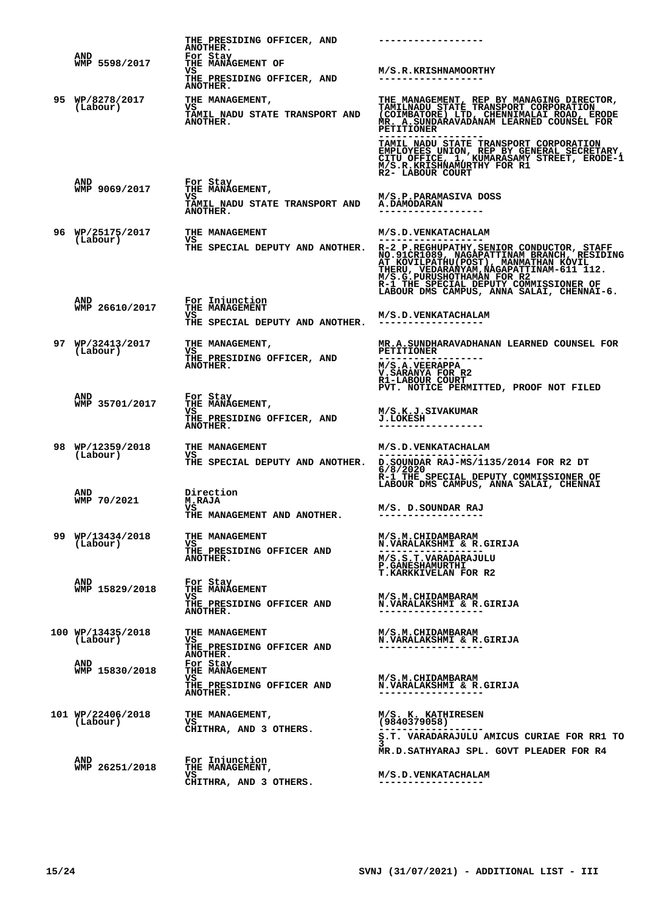|                              | THE PRESIDING OFFICER, AND<br><b>ANOTHER.</b>                       | ------------------                                                                                                                                                                                                                                                                                      |
|------------------------------|---------------------------------------------------------------------|---------------------------------------------------------------------------------------------------------------------------------------------------------------------------------------------------------------------------------------------------------------------------------------------------------|
| AND<br>WMP 5598/2017         | For Stay<br>THE MANAGEMENT OF<br>vs                                 | M/S.R.KRISHNAMOORTHY                                                                                                                                                                                                                                                                                    |
|                              | THE PRESIDING OFFICER, AND<br><b>ANOTHER.</b>                       | ------------------                                                                                                                                                                                                                                                                                      |
| 95 WP/8278/2017<br>(Labour)  | THE MANAGEMENT,<br>VS<br>TAMIL NADU STATE TRANSPORT AND<br>ANOTHER. | THE MANAGEMENT, REP BY MANAGING DIRECTOR,<br>TAMILNADU STATE TRANSPORT CORPORATION<br>(COIMBATORE) LTD, CHENNIMALAI ROAD, ERODE<br>MR. A.SUNDARAVADANAM LEARNED COUNSEL FOR<br><b>PETITIONER</b>                                                                                                        |
|                              |                                                                     | TAMIL NADU STATE TRANSPORT CORPORATION<br>EMPLOYEES UNION, REP BY GENERAL SECRETARY,<br>CITU OFFICE, 1, KUMARASAMY STREET, ERODE-1<br>M/S.R.KRISHNAMURTHY FOR R1<br>R2- LABOUR COURT                                                                                                                    |
| AND<br>WMP 9069/2017         | For Stay<br>THE MANAGEMENT,                                         |                                                                                                                                                                                                                                                                                                         |
|                              | vs<br>TAMIL NADU STATE TRANSPORT AND<br><b>ANOTHER.</b>             | M/S.P.PARAMASIVA DOSS<br><b>A.DAMODARAN</b>                                                                                                                                                                                                                                                             |
| 96 WP/25175/2017             | THE MANAGEMENT                                                      | M/S.D.VENKATACHALAM                                                                                                                                                                                                                                                                                     |
| (Labour)                     | VS                                                                  | THE SPECIAL DEPUTY AND ANOTHER. R-2 P.REGHUPATHY, SENIOR CONDUCTOR, STAFF<br>NO.91CRIORS, NAGAPATTINA BRANCHICA (POST), MANATHAN KOVIL<br>THERU, VEDARANIAM, NAGAPATTINAM-611 12.<br>M/S.G. PURUSHOTHAMAN FOR R2<br>R-1 THE SPECIAL DEPUTY COMMISSIONER OF<br>LABOUR DMS CAMPUS, ANNA SALAI, CHENNAI-6. |
| AND<br>WMP 26610/2017        | For Injunction<br>THE MANAGEMENT                                    |                                                                                                                                                                                                                                                                                                         |
|                              | VS<br>THE SPECIAL DEPUTY AND ANOTHER. -----------------             | <b>M/S.D.VENKATACHALAM</b>                                                                                                                                                                                                                                                                              |
| 97 WP/32413/2017<br>(Labour) | THE MANAGEMENT,<br>VS                                               | MR.A.SUNDHARAVADHANAN LEARNED COUNSEL FOR<br><b>PETITIONER</b>                                                                                                                                                                                                                                          |
|                              | THE PRESIDING OFFICER, AND<br>ANOTHER.                              | <b>M/S.A.VEERAPPA</b><br>V. SARANYA FOR R2<br>R1-LABOUR COURT<br>PVT. NOTICE PERMITTED, PROOF NOT FILED                                                                                                                                                                                                 |
| <b>AND</b><br>WMP 35701/2017 | For Stay<br>THE MANAGEMENT,                                         |                                                                                                                                                                                                                                                                                                         |
|                              | VS.<br>THE PRESIDING OFFICER, AND<br><b>ANOTHER.</b>                | M/S.K.J.SIVAKUMAR<br><b>J.LOKESH</b>                                                                                                                                                                                                                                                                    |
| 98 WP/12359/2018             | THE MANAGEMENT                                                      | M/S.D.VENKATACHALAM                                                                                                                                                                                                                                                                                     |
| (Labour)                     | VS                                                                  | THE SPECIAL DEPUTY AND ANOTHER. D. SOUNDAR RAJ-MS/1135/2014 FOR R2 DT<br>6/8/2020<br>R-1 THE SPECIAL DEPUTY COMMISSIONER OF<br>LABOUR DMS CAMPUS, ANNA SALAI, CHENNAI                                                                                                                                   |
| AND<br>WMP 70/2021           | Direction<br><b>M.RAJA</b>                                          |                                                                                                                                                                                                                                                                                                         |
|                              | vs<br>THE MANAGEMENT AND ANOTHER.                                   | M/S. D.SOUNDAR RAJ<br>------------------                                                                                                                                                                                                                                                                |
| 99 WP/13434/2018<br>(Labour) | THE MANAGEMENT<br>vs.                                               | M/S.M.CHIDAMBARAM<br>N. VARALAKSHMI & R. GIRIJA                                                                                                                                                                                                                                                         |
|                              | THE PRESIDING OFFICER AND<br>ANOTHER.                               | M/S.S.T.VARADARAJULU                                                                                                                                                                                                                                                                                    |
|                              |                                                                     | <b>P. GANESHAMURTHI</b><br><b>T.KARKKIVELAN FOR R2</b>                                                                                                                                                                                                                                                  |
| AND<br>WMP 15829/2018        | For Stay<br>THE MANAGEMENT                                          |                                                                                                                                                                                                                                                                                                         |
|                              | vs<br>THE PRESIDING OFFICER AND<br><b>ANOTHER.</b>                  | M/S.M.CHIDAMBARAM<br>N. VARALAKSHMI & R. GIRIJA                                                                                                                                                                                                                                                         |
| 100 WP/13435/2018            | THE MANAGEMENT                                                      | M/S.M.CHIDAMBARAM                                                                                                                                                                                                                                                                                       |
| (Labour)                     | VS<br>THE PRESIDING OFFICER AND<br><b>ANOTHER.</b>                  | N. VARALAKSHMI & R. GIRIJA<br>------------------                                                                                                                                                                                                                                                        |
| AND<br>WMP 15830/2018        | For Stay<br><b>THE MANAGEMENT</b>                                   |                                                                                                                                                                                                                                                                                                         |
|                              | VS.<br>THE PRESIDING OFFICER AND<br>ANOTHER.                        | M/S.M.CHIDAMBARAM<br>N.VARALAKSHMI & R.GIRIJA                                                                                                                                                                                                                                                           |
| 101 WP/22406/2018            | THE MANAGEMENT,                                                     | M/S. K. KATHIRESEN                                                                                                                                                                                                                                                                                      |
| (Labour)                     | VS<br>CHITHRA, AND 3 OTHERS.                                        | (9840379058)                                                                                                                                                                                                                                                                                            |
|                              |                                                                     | S.T. VARADARAJULU AMICUS CURIAE FOR RR1 TO<br>MR.D.SATHYARAJ SPL. GOVT PLEADER FOR R4                                                                                                                                                                                                                   |
| AND<br>WMP 26251/2018        | For Injunction<br>THE MANAGEMENT,                                   |                                                                                                                                                                                                                                                                                                         |
|                              | vs<br>CHITHRA, AND 3 OTHERS.                                        | M/S.D. VENKATACHALAM<br>------------------                                                                                                                                                                                                                                                              |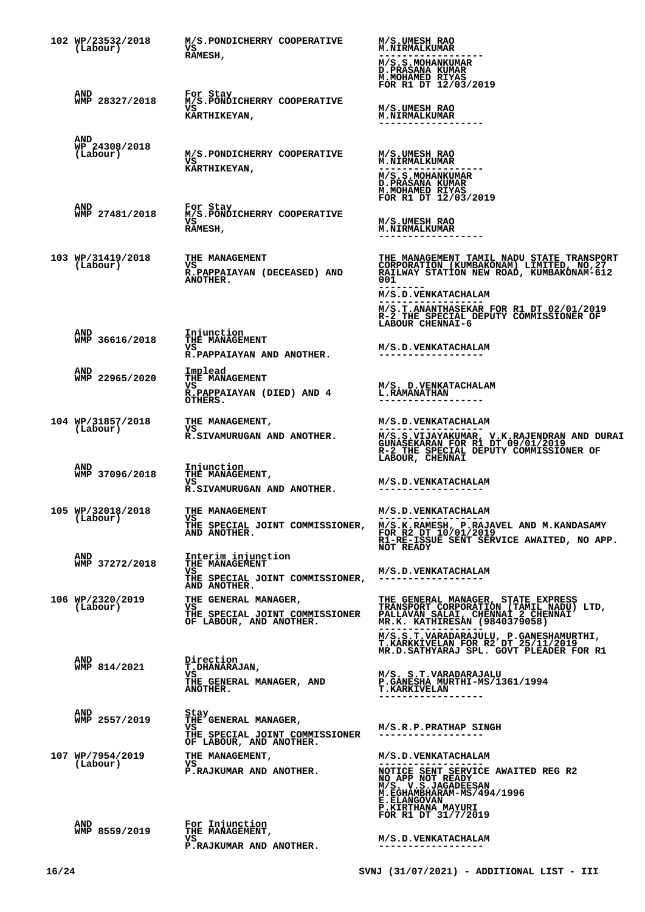| 102 WP/23532/2018<br>(Labour)    | M/S.PONDICHERRY COOPERATIVE<br>VS<br>RAMESH,                                                    | M/S.UMESH RAO<br><b>M.NIRMALKUMAR</b><br>M/S.S.MOHANKUMAR<br><b>D.PRASANA KUMAR</b><br>M. MOHAMED RIYAS<br>FOR R1 DT 12/03/2019                                                                                                                       |
|----------------------------------|-------------------------------------------------------------------------------------------------|-------------------------------------------------------------------------------------------------------------------------------------------------------------------------------------------------------------------------------------------------------|
| AND<br>WMP 28327/2018            | For Stay<br>M/S.PONDICHERRY COOPERATIVE<br>vs<br>KARTHIKEYAN,                                   | M/S.UMESH RAO<br><b>M.NIRMALKUMAR</b>                                                                                                                                                                                                                 |
| AND<br>WP 24308/2018<br>(Labour) | M/S.PONDICHERRY COOPERATIVE<br>vs<br><b>KARTHIKEYAN,</b>                                        | M/S.UMESH RAO<br><b>M.NIRMALKUMAR</b><br>M/S.S.MOHANKUMAR<br><b>D.PRASANA KUMAR</b><br>M.MOHAMED RIYAS<br>FOR R1 DT 12/03/2019                                                                                                                        |
| AND<br>WMP 27481/2018            | For Stay<br>M/S.PONDICHERRY COOPERATIVE<br>VS.<br>RAMESH,                                       | M/S.UMESH RAO<br><b>M.NIRMALKUMAR</b>                                                                                                                                                                                                                 |
| 103 WP/31419/2018<br>(Labour)    | THE MANAGEMENT<br>VS<br>R.PAPPAIAYAN (DECEASED) AND<br>ANOTHER.                                 | THE MANAGEMENT TAMIL NADU STATE TRANSPORT<br>CORPORATION (KUMBAKONAM) LIMITED, NO, 27<br>RAILWAY STATION NEW ROAD, KUMBAKONAM-612<br>001<br>M/S.D. VENKATACHALAM<br>M/S.T.ANANTHASEKAR FOR R1 DT 02/01/2019<br>R-2 THE SPECIAL DEPUTY COMMISSIONER OF |
| AND<br>WMP 36616/2018            | Injunction<br><b>THE MANAGEMENT</b><br>VS.<br>R.PAPPAIAYAN AND ANOTHER.                         | LABOUR CHENNAI-6<br>M/S.D.VENKATACHALAM                                                                                                                                                                                                               |
| AND<br>WMP 22965/2020            | Implead<br><b>THE MANAGEMENT</b><br>vs<br>R.PAPPAIAYAN (DIED) AND 4<br>OTHERS.                  | M/S. D. VENKATACHALAM<br><b>L.RAMANATHAN</b>                                                                                                                                                                                                          |
| 104 WP/31857/2018<br>(Labour)    | THE MANAGEMENT,<br>VS<br>R.SIVAMURUGAN AND ANOTHER.                                             | M/S.D.VENKATACHALAM<br>M/S.S.VIJAYAKUMAR, V.K.RAJENDRAN AND DURAI<br>GUNASEKARAN FOR R1 DT 09/01/2019<br>R-2 THE SPECIAL DEPUTY COMMISSIONER OF                                                                                                       |
| AND<br>WMP 37096/2018            | Injunction<br>THE MANAGEMENT,<br>vs<br>R.SIVAMURUGAN AND ANOTHER.                               | LABOUR, CHENNAI<br>M/S.D.VENKATACHALAM<br>------------------                                                                                                                                                                                          |
| 105 WP/32018/2018<br>(Labour)    | THE MANAGEMENT<br>VS<br>THE SPECIAL JOINT COMMISSIONER,<br>AND ANOTHER.                         | M/S.D.VENKATACHALAM<br>M/S.K.RAMESH, P.RAJAVEL AND M.KANDASAMY<br>FOR R2 DT 10/01/2019<br>R1-RE-ISSUE SENT SERVICE AWAITED, NO APP.<br><b>NOT READY</b>                                                                                               |
| AND<br>WMP 37272/2018            | Interim injunction<br>THE MANAGEMENT<br>VS<br>THE SPECIAL JOINT COMMISSIONER,<br>AND ANOTHER.   | M/S.D.VENKATACHALAM<br>------------------                                                                                                                                                                                                             |
| 106 WP/2320/2019<br>(Labour)     | THE GENERAL MANAGER,<br>VS<br>THE SPECIAL JOINT COMMISSIONER<br>OF LABOUR, AND ANOTHER.         | THE GENERAL MANAGER, STATE EXPRESS<br>TRANSPORT CORPORATIÓN (TAMIL NADU) LTD,<br>PALLAVAN SALAI, CHENNAÌ 2 CHENNAÌ<br>MR.K. KATHIRESAN (9840379058)<br>M/S.S.T.VARADARAJULU, P.GANESHAMURTHI, T.KARKKIVELAN FOR R2 DT 25/11/2019                      |
| AND<br>WMP 814/2021              | Direction<br><b>T.DHANARAJAN,</b><br>VS<br>THE GENERAL MANAGER, AND<br>ANOTHER.                 | MR.D.SATHYARAJ SPL. GOVT PLEADER FOR R1<br>M/S. S.T.VARADARAJALU<br>P.GANESHA MURTHI-MS/1361/1994<br><b>T.KARKIVELAN</b>                                                                                                                              |
| AND<br>WMP 2557/2019             | Stay<br>THE GENERAL MANAGER,<br>VS<br>THE SPECIAL JOINT COMMISSIONER<br>OF LABOUR, AND ANOTHER. | M/S.R.P.PRATHAP SINGH<br>------------------                                                                                                                                                                                                           |
| 107 WP/7954/2019<br>(Labour)     | THE MANAGEMENT,<br>VS<br>P.RAJKUMAR AND ANOTHER.                                                | M/S.D.VENKATACHALAM<br>NOTICE SENT SERVICE AWAITED REG R2<br>NO APP NOT READY M/S. V.S.JAGADEESAN<br>M. EGHAMBHARAM-MS/494/1996<br><b>E.ELANGOVAN</b><br>P.KIRTHANA MAYURI<br>FOR R1 DT 31/7/2019                                                     |
| <b>AND</b><br>WMP 8559/2019      | For Injunction<br>THE MANAGEMENT,<br>vs<br>P.RAJKUMAR AND ANOTHER.                              | <b>M/S.D.VENKATACHALAM</b>                                                                                                                                                                                                                            |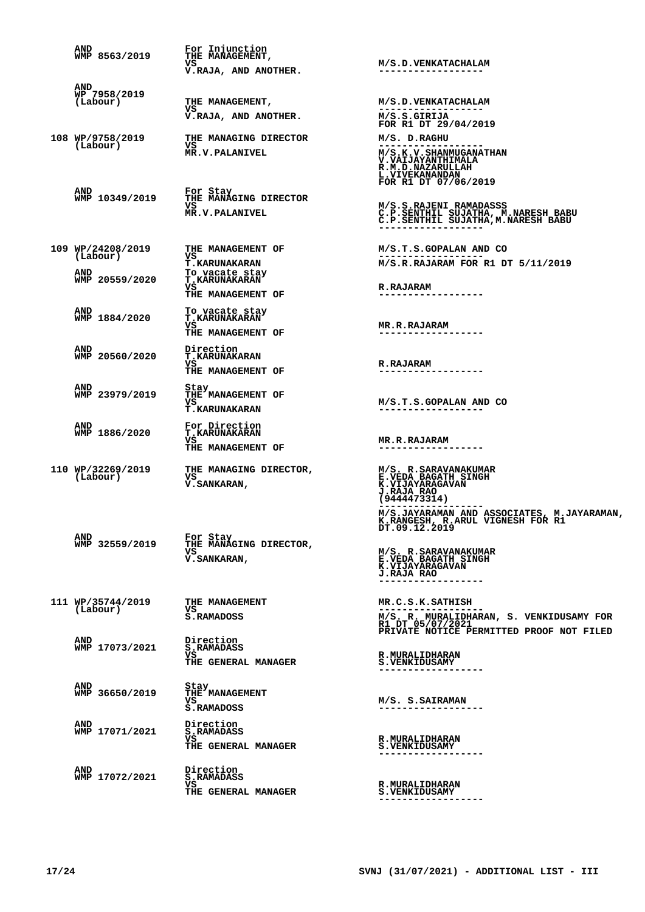| AND<br>WMP 8563/2019            | For Injunction<br>THE MANAGEMENT,                                 |                                                                                                                                                                                         |
|---------------------------------|-------------------------------------------------------------------|-----------------------------------------------------------------------------------------------------------------------------------------------------------------------------------------|
|                                 | VS<br>V.RAJA, AND ANOTHER.                                        | M/S.D. VENKATACHALAM<br>------------------                                                                                                                                              |
| AND<br>WP 7958/2019<br>(Labour) | THE MANAGEMENT,<br>VS                                             | M/S.D.VENKATACHALAM                                                                                                                                                                     |
|                                 | V.RAJA, AND ANOTHER.                                              | M/S.S.GIRIJA<br>FOR R1 DT 29/04/2019                                                                                                                                                    |
| 108 WP/9758/2019<br>(Labour)    | THE MANAGING DIRECTOR<br>vs<br>MR.V.PALANIVEL                     | M/S. D.RAGHU<br>M/S.K.V.SHANMUGANATHAN<br>V. VAIJAYANTHIMALA<br>R.M.D.NAZARULLAH<br>L. VIVEKANANDAN<br>FOR R1 DT 07/06/2019                                                             |
| <b>AND</b><br>WMP 10349/2019    | For Stay<br>THE MANAGING DIRECTOR                                 |                                                                                                                                                                                         |
|                                 | vs<br><b>MR.V.PALANIVEL</b>                                       | M/S.S.RAJENI RAMADASSS<br>C.P.SENTHIL SUJATHA, M.NARESH BABU<br>C.P.SENTHIL SUJATHA, M.NARESH BABU                                                                                      |
| 109 WP/24208/2019<br>(Labour)   | THE MANAGEMENT OF<br>vs                                           | M/S.T.S.GOPALAN AND CO                                                                                                                                                                  |
| AND                             | <b>T.KARUNAKARAN</b><br>To vacate stay                            | M/S.R.RAJARAM FOR R1 DT 5/11/2019                                                                                                                                                       |
| WMP 20559/2020                  | <b>T.KARUNAKARAN</b><br>vs<br>THE MANAGEMENT OF                   | <b>R.RAJARAM</b><br>------------------                                                                                                                                                  |
| AND<br>WMP 1884/2020            | To vacate stay<br><b>T.KARUNAKARAN</b><br>VS<br>THE MANAGEMENT OF | <b>MR.R.RAJARAM</b>                                                                                                                                                                     |
| AND<br>WMP 20560/2020           | Direction<br><b>T.KARUNAKARAN</b>                                 |                                                                                                                                                                                         |
|                                 | VS<br>THE MANAGEMENT OF                                           | <b>R.RAJARAM</b>                                                                                                                                                                        |
| AND<br>WMP 23979/2019           | Stay<br>THE MANAGEMENT OF<br>VS<br><b>T.KARUNAKARAN</b>           | M/S.T.S.GOPALAN AND CO                                                                                                                                                                  |
| AND<br>WMP 1886/2020            | For Direction<br><b>T.KARUNAKARAN</b><br>VS<br>THE MANAGEMENT OF  | <b>MR.R.RAJARAM</b>                                                                                                                                                                     |
| 110 WP/32269/2019<br>(Labour)   | THE MANAGING DIRECTOR,<br>vs<br>V. SANKARAN,                      | M/S. R. SARAVANAKUMAR<br>E.VEDA BAGATH SINGH<br><b>K.VIJAYARAGAVAN</b><br><b>J.RAJA RAO</b><br>(9444473314)                                                                             |
| AND<br>WMP 32559/2019           | For Stay<br>THE MANAGING DIRECTOR,<br>VS<br><b>V.SANKARAN,</b>    | M/S.JAYARAMAN AND ASSOCIATES, M.JAYARAMAN,<br>K.RANGESH, R.ARUL VIGNESH FOR R1<br>DT.09.12.2019<br>M/S. R. SARAVANAKUMAR<br>E.VEDA BAGATH SINGH<br>K.VIJAYARAGAVAN<br><b>J.RAJA RAO</b> |
| 111 WP/35744/2019<br>(Labour)   | THE MANAGEMENT<br>VS<br>S.RAMADOSS                                | MR.C.S.K.SATHISH<br>M/S. R. MURALIDHARAN, S. VENKIDUSAMY FOR<br>R1 DT 05/07/2021                                                                                                        |
| AND<br>WMP 17073/2021           | Direction<br>S.RAMADASS<br>VS<br>THE GENERAL MANAGER              | PRIVATE NOTICE PERMITTED PROOF NOT FILED<br><b>R.MURALIDHARAN</b><br><b>S.VENKIDUSAMY</b>                                                                                               |
| AND<br>WMP 36650/2019           | Stay<br>THE MANAGEMENT<br>VS<br>S.RAMADOSS                        | M/S. S.SAIRAMAN                                                                                                                                                                         |
| AND<br>WMP 17071/2021           | Direction<br>S.RAMADASS<br>VS<br>THE GENERAL MANAGER              | <b>R.MURALIDHARAN</b><br><b>S.VENKIDUSAMY</b>                                                                                                                                           |
| AND<br>WMP 17072/2021           | Direction<br>S.RAMADASS<br>VS<br>THE GENERAL MANAGER              | R. MURALIDHARAN<br><b>S.VENKIDUSAMY</b>                                                                                                                                                 |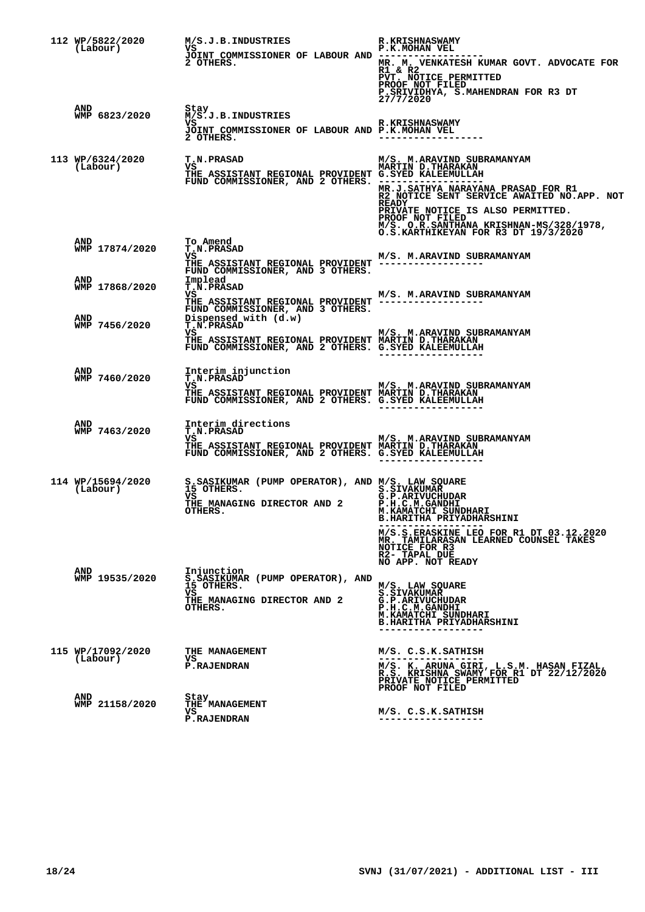| 112 WP/5822/2020<br>(Labour)        | M/S.J.B. INDUSTRIES<br>VS<br>JOINT COMMISSIONER OF LABOUR AND --<br>2 OTHERS.                                                                               | <b>R.KRISHNASWAMY</b><br>P.K.MOHAN VEL<br>MR. M. VENKATESH KUMAR GOVT. ADVOCATE FOR<br>R1 & R2<br>PVT. NOTICE PERMITTED<br>PROOF NOT FILED<br>P. SRIVIDHYA, S. MAHENDRAN FOR R3 DT<br>27/7/2020                                                                                                       |
|-------------------------------------|-------------------------------------------------------------------------------------------------------------------------------------------------------------|-------------------------------------------------------------------------------------------------------------------------------------------------------------------------------------------------------------------------------------------------------------------------------------------------------|
| AND<br>WMP 6823/2020                | Stay<br>M/S.J.B.INDUSTRIES<br>VS<br>JOINT COMMISSIONER OF LABOUR AND P.K.MOHAN VEL<br>2 OTHERS.                                                             | <b>R.KRISHNASWAMY</b>                                                                                                                                                                                                                                                                                 |
| 113 WP/6324/2020<br>(Labour)        | <b>T.N.PRASAD</b><br>VS<br>THE ASSISTANT REGIONAL PROVIDENT G.SYED KALEEMULLAH<br>FUND COMMISSIONER, AND 2 OTHERS. -------                                  | M/S. M.ARAVIND SUBRAMANYAM<br><b>MARTIN D. THARAKAN</b><br>MR.J.SATHYA NARAYANA PRASAD FOR R1<br>R2 NOTICE SENT SERVICE AWAITED NO.APP. NOT<br><b>READY</b><br>PRIVATE NOTICE IS ALSO PERMITTED.<br>PROOF NOT FILED<br>M/S. O.R.SANTHANA KRISHNAN-MS/328/1978,<br>O.S.KARTHIKEYAN FOR R3 DT 19/3/2020 |
| AND<br>WMP 17874/2020               | To Amend<br><b>T.N.PRASAD</b><br>vs<br>THE ASSISTANT REGIONAL PROVIDENT -----------------<br>FUND COMMISSIONER, AND 3 OTHERS.                               | M/S. M.ARAVIND SUBRAMANYAM                                                                                                                                                                                                                                                                            |
| <b>AND</b><br>WMP 17868/2020<br>AND | Implead<br><b>T.N.PRASAD</b><br>vs<br>THE ASSISTANT REGIONAL PROVIDENT -----------------<br>FUND COMMISSIONER, AND 3 OTHERS.<br>Dispensed with (d.w)        | M/S. M.ARAVIND SUBRAMANYAM                                                                                                                                                                                                                                                                            |
| WMP 7456/2020                       | <b>T.N.PRASAD</b><br>VS M/S. M.ARAVIND SUBRAMANYAM<br>FUND COMMISSIONER, AND 2 OTHERS. G.SYED KALEEMULLAH                                                   |                                                                                                                                                                                                                                                                                                       |
| AND<br>WMP 7460/2020                | Interim injunction<br>T.N.PRASAD<br>VS<br>THE ASSISTANT REGIONAL PROVIDENT MARTIN D.THARAKAN<br>FUND COMMISSIONER, AND 2 OTHERS. G.SYED KALEEMULLAH         | M/S. M.ARAVIND SUBRAMANYAM                                                                                                                                                                                                                                                                            |
| AND<br>WMP 7463/2020                | Interim directions<br><b>T.N.PRASAD</b><br>vs<br>THE ASSISTANT REGIONAL PROVIDENT MARTIN D. THARAKAN<br>FUND COMMISSIONER, AND 2 OTHERS. G.SYED KALEEMULLAH | M/S. M.ARAVIND SUBRAMANYAM<br>------------------                                                                                                                                                                                                                                                      |
| 114 WP/15694/2020<br>(Labour)       | S.SASIKUMAR (PUMP OPERATOR), AND M/S. LAW SQUARE<br>15 OTHERS.<br>vs<br>THE MANAGING DIRECTOR AND 2<br>OTHERS.                                              | <b>S.SIVAKUMAR</b><br>G.P.ARIVUCHUDAR<br><b>P.H.C.M.GANDHI</b><br>M.KAMATCHI SUNDHARI<br><b>B.HARITHA PRIYADHARSHINI</b><br>M/S.S.ERASKINE LEO FOR R1 DT 03.12.2020<br>MR. TAMILARASAN LEARNED COUNSEL TAKES<br>NOTICE FOR R3<br>R2- TAPAL DUE                                                        |
| AND<br>WMP 19535/2020               | Injunction<br>S.ŠASIKUMAR (PUMP OPERATOR), AND<br>15 OTHERS.<br>vs<br>THE MANAGING DIRECTOR AND 2<br>OTHERS.                                                | NO APP. NOT READY<br>M/S. LAW SQUARE<br><b>S.SIVAKUMAR</b><br>G.P.ARIVUCHUDAR<br>P.H.C.M.GANDHI<br>M.KAMATCHI SUNDHARI<br><b>B.HARITHA PRIYADHARSHINI</b><br>------------------                                                                                                                       |
| 115 WP/17092/2020<br>(Labour)       | THE MANAGEMENT<br>VS<br><b>P.RAJENDRAN</b>                                                                                                                  | M/S. C.S.K. SATHISH<br>M/S. K. ARUNA GIRI, L.S.M. HASAN FIZAL, R.S. KRISHNA SWAMY FOR R1 DT 22/12/2020<br>PRIVATE NOTICE PERMITTED                                                                                                                                                                    |
| <b>AND</b><br>WMP 21158/2020        | Stay<br>THE MANAGEMENT<br>vs<br><b>P.RAJENDRAN</b>                                                                                                          | PROOF NOT FILED<br>M/S. C.S.K.SATHISH<br>. <u>.</u> .                                                                                                                                                                                                                                                 |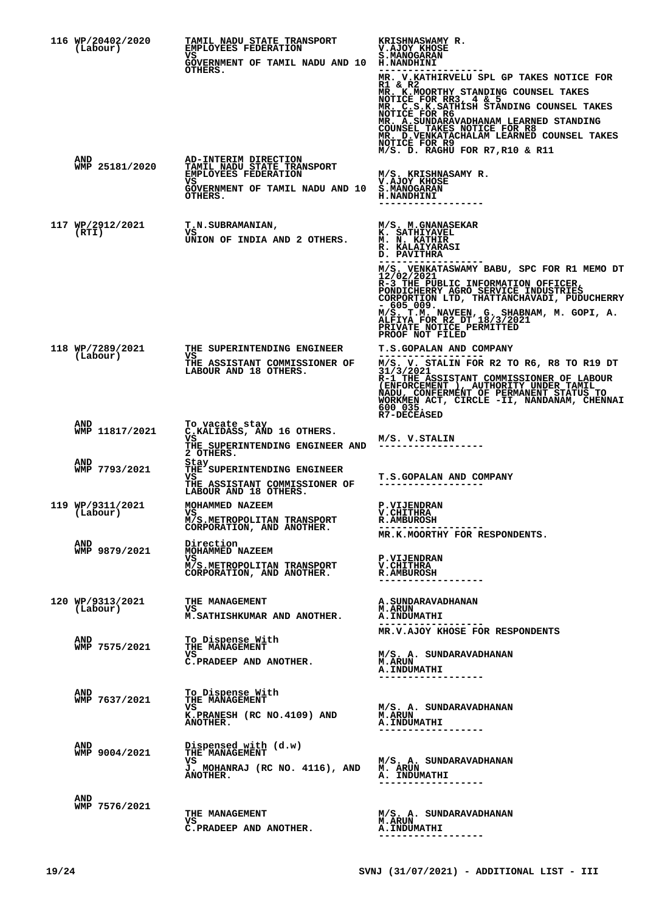| 116 WP/20402/2020<br>(Labour) | <b>TAMIL NADU STATE TRANSPORT</b><br>EMPLOYEES FEDERATION<br>vs<br>GOVERNMENT OF TAMIL NADU AND 10 H.NANDHINI<br>OTHERS.              | KRISHNASWAMY R.<br><b>V.AJOY KHOSE</b><br>S.MANOGARAN<br>MR. V.KATHIRVELU SPL GP TAKES NOTICE FOR<br>R1 & R2<br>MR. K. MOORTHY STANDING COUNSEL TAKES<br>NOTICE FOR RR3, 4 & 5<br>MR. C.S.K.SATHISH STANDING COUNSEL TAKES<br>NOTICE FOR R6<br>MR. A.SUNDARAVADHANAM LEARNED STANDING<br><b>COUNSEL TAKES NOTICE FOR R8</b><br>MR. D. VENKATACHALAM LEARNED COUNSEL TAKES<br>NOTICE FOR R9<br>$M/S$ . D. RAGHU FOR R7, R10 & R11 |
|-------------------------------|---------------------------------------------------------------------------------------------------------------------------------------|----------------------------------------------------------------------------------------------------------------------------------------------------------------------------------------------------------------------------------------------------------------------------------------------------------------------------------------------------------------------------------------------------------------------------------|
| AND<br>WMP 25181/2020         | AD-INTERIM DIRECTION<br>TAMIL NADU STATE TRANSPORT<br><b>EMPLOYEES FEDERATION</b><br>vs<br>GOVERNMENT OF TAMIL NADU AND 10<br>OTHERS. | M/S. KRISHNASAMY R.<br>V.AJOY KHOSE<br><b>S.MANOGARAN</b><br><b>H.NANDHINI</b>                                                                                                                                                                                                                                                                                                                                                   |
| 117 WP/2912/2021<br>(RTI)     | <b>T.N.SUBRAMANIAN,</b><br>VS<br>UNION OF INDIA AND 2 OTHERS.                                                                         | M/S. M.GNANASEKAR<br>K. SATHIYAVEL<br><b>M. N. KATHIR</b><br>R. KALAIYARASI<br>D. PAVITHRA<br>M/S. VENKATASWAMY BABU, SPC FOR R1 MEMO DT<br>12/02/2021<br>R-3 THE PUBLIC INFORMATION OFFICER,<br>PONDICHERRY AGRO SERVICE INDUSTRIES<br>CORPORTION LTD, THATTANCHAVADI, PUDUCHERRY<br>$-605009.$<br>$M/S$ . T.M. NAVEEN, G. SHABNAM, M. GOPI, A. ALFIYA FOR R2 DT $18/3/2021$<br>PRIVATE NOTICE PERMITTED<br>PROOF NOT FILED     |
| 118 WP/7289/2021<br>(Labour)  | THE SUPERINTENDING ENGINEER<br>vs<br>THE ASSISTANT COMMISSIONER OF<br>LABOUR AND 18 OTHERS.                                           | T.S.GOPALAN AND COMPANY<br>$M/S$ . V. STALIN FOR R2 TO R6, R8 TO R19 DT $31/3/2021$<br>R-1 THE ASSISTANT COMMISSIONER OF LABOUR<br>(ENFORCEMENT ), AUTHORITY UNDER TAMIL NADU, CONFERMENT OF PERMANENT STATUS TO WORKMEN ACT, CIRCLE -II, NANDANAM, CHENNAI<br>600 035.<br><b>R7-DECEASED</b>                                                                                                                                    |
| AND<br>WMP 11817/2021         | To vacate stay<br>C.KALIDASS, AND 16 OTHERS.<br>VS.<br><b>THE SUPERINTENDING ENGINEER AND</b><br>2 OTHERS.                            | M/S. V.STALIN                                                                                                                                                                                                                                                                                                                                                                                                                    |
| AND<br>WMP 7793/2021          | Stay<br>THE SUPERINTENDING ENGINEER<br>VS.<br>THE ASSISTANT COMMISSIONER OF<br>LABOUR AND 18 OTHERS.                                  | T.S.GOPALAN AND COMPANY<br>------------------                                                                                                                                                                                                                                                                                                                                                                                    |
| 119 WP/9311/2021<br>(Labour)  | MOHAMMED NAZEEM<br>VS<br>M/S.METROPOLITAN TRANSPORT<br>CORPORATION, AND ANOTHER.                                                      | <b>P.VIJENDRAN</b><br><b>V.CHITHRA</b><br><b>R.AMBUROSH</b><br>MR.K.MOORTHY FOR RESPONDENTS.                                                                                                                                                                                                                                                                                                                                     |
| AND<br>WMP 9879/2021          | Direction<br>MOHAMMED NAZEEM<br>VS<br>M/S.METROPOLITAN TRANSPORT<br>CORPORATION, AND ANOTHER.                                         | <b>P.VIJENDRAN</b><br>V. CHITHRA<br><b>R.AMBUROSH</b>                                                                                                                                                                                                                                                                                                                                                                            |
| 120 WP/9313/2021<br>(Labour)  | <b>THE MANAGEMENT</b><br>VS<br>M. SATHISHKUMAR AND ANOTHER.                                                                           | <b>A. SUNDARAVADHANAN</b><br><b>M.ARUN</b><br><b>A.INDUMATHI</b><br>. _ _ _ _ _ _ _ _ _ _ _ _ _ _ _ _ _ _<br>MR.V.AJOY KHOSE FOR RESPONDENTS                                                                                                                                                                                                                                                                                     |
| <b>AND</b><br>WMP 7575/2021   | To Dispense With<br>THE MANAGEMENT<br>VS<br>C.PRADEEP AND ANOTHER.                                                                    | M/S. A. SUNDARAVADHANAN<br><b>M.ARUN</b><br><b>A. INDUMATHI</b><br>. _ _ _ _ _ _ _ _ _ _ _ _ _ _ _ _ _                                                                                                                                                                                                                                                                                                                           |
| AND<br>WMP 7637/2021          | To Dispense With<br>THE MANAGEMENT<br>VS<br>K.PRANESH (RC NO.4109) AND<br>ANOTHER.                                                    | M/S. A. SUNDARAVADHANAN<br><b>M.ARUN</b><br><b>A. INDUMATHI</b><br>------------------                                                                                                                                                                                                                                                                                                                                            |
| AND<br>WMP 9004/2021          | Dispensed with (d.w)<br>THE MANAGEMENT<br>VS<br>J. MOHANRAJ (RC NO. 4116), AND M. ARUN<br>ANOTHER.                                    | M/S. A. SUNDARAVADHANAN<br>A. INDUMATHI<br>---------------                                                                                                                                                                                                                                                                                                                                                                       |
| AND<br>WMP 7576/2021          | THE MANAGEMENT<br>VS<br>C.PRADEEP AND ANOTHER.                                                                                        | M/S. A. SUNDARAVADHANAN<br><b>M.ARUN</b><br><b>A. INDUMATHI</b><br>------------------                                                                                                                                                                                                                                                                                                                                            |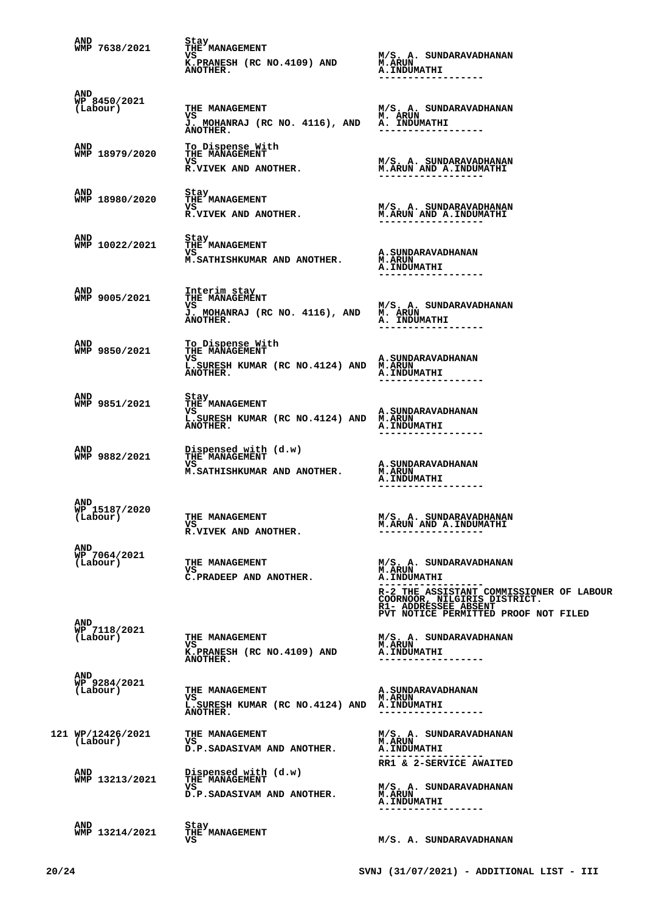| AND<br>WMP 7638/2021                    | Stay<br>THE MANAGEMENT<br>VS<br>K.PRANESH (RC NO.4109) AND<br><b>ANOTHER.</b>                  | M/S. A. SUNDARAVADHANAN<br><b>M.ARUN</b><br><b>A. INDUMATHI</b>                                                                                                     |
|-----------------------------------------|------------------------------------------------------------------------------------------------|---------------------------------------------------------------------------------------------------------------------------------------------------------------------|
| <b>AND</b><br>WP 8450/2021<br>(Labour)  | THE MANAGEMENT<br>VS<br>J. MOHANRAJ (RC NO. 4116), AND<br>ANOTHER.                             | M/S. A. SUNDARAVADHANAN<br><b>M. ARUN</b><br>A. INDUMATHI<br>. _ _ _ _ _ _ _ _ _ _ _ _ _ _ _ _ _ _                                                                  |
| AND<br>WMP 18979/2020                   | To Dispense With<br>THE MANAGEMENT<br>VS<br><b>R.VIVEK AND ANOTHER.</b>                        | M/S. A. SUNDARAVADHANAN<br>M.ARUN AND A.INDUMATHI<br>-------------------                                                                                            |
| AND<br>WMP 18980/2020                   | <b>Stay</b><br>THE MANAGEMENT<br>VS<br>R.VIVEK AND ANOTHER.                                    | M/S. A. SUNDARAVADHANAN<br><b>M.ARUN AND A.INDUMATHI</b>                                                                                                            |
| <b>AND</b><br>WMP 10022/2021            | Stay<br>THE MANAGEMENT<br>vs<br>M. SATHISHKUMAR AND ANOTHER.                                   | <b>A. SUNDARAVADHANAN</b><br><b>M.ARUN</b><br><b>A. INDUMATHI</b>                                                                                                   |
| AND<br>WMP 9005/2021                    | Interim stay<br>THE MANAGEMENT<br>VS.<br>J. MOHANRAJ (RC NO. 4116), AND<br>ANOTHER.            | M/S. A. SUNDARAVADHANAN<br>M. ARUN<br>A. INDUMATHI                                                                                                                  |
| AND<br>WMP 9850/2021                    | To Dispense With<br>THE MANAGEMENT<br>VS<br>L.SURESH KUMAR (RC NO.4124) AND M.ARUN<br>ANOTHER. | A. SUNDARAVADHANAN<br><b>A. INDUMATHI</b>                                                                                                                           |
| AND<br>WMP 9851/2021                    | Stay<br>THE MANAGEMENT<br>VS<br>L.SURESH KUMAR (RC NO.4124) AND M.ARUN<br><b>ANOTHER.</b>      | A. SUNDARAVADHANAN<br><b>A.INDUMATHI</b>                                                                                                                            |
| AND<br>WMP 9882/2021                    | Dispensed with (d.w)<br>THE MANAGEMENT<br>vs<br>M. SATHISHKUMAR AND ANOTHER.                   | A. SUNDARAVADHANAN<br><b>M.ARUN</b><br><b>A.INDUMATHI</b><br>---------------                                                                                        |
| <b>AND</b><br>WP 15187/2020<br>(Labour) | THE MANAGEMENT<br>vs<br>R.VIVEK AND ANOTHER.                                                   | M/S. A. SUNDARAVADHANAN<br>M.ARUN AND A.INDUMATHI                                                                                                                   |
| <b>AND</b><br>WP 7064/2021<br>(Labour)  | THE MANAGEMENT<br>VS<br>C.PRADEEP AND ANOTHER.                                                 | M/S. A. SUNDARAVADHANAN<br><b>M.ARUN</b><br><b>A. INDUMATHI</b><br>R-2 THE ASSISTANT COMMISSIONER OF LABOUR<br>COORNOOR, NILGIRIS DISTRICT.<br>R1- ADDRESSEE ABSENT |
| <b>AND</b><br>WP 7118/2021<br>(Labour)  | THE MANAGEMENT<br>VS<br>K.PRANESH (RC NO.4109) AND<br>ANOTHER.                                 | PVT NOTICE PERMITTED PROOF NOT FILED<br>M/S. A. SUNDARAVADHANAN<br><b>M.ARUN</b><br><b>A.INDUMATHI</b>                                                              |
| AND<br>WP 9284/2021<br>(Labour)         | THE MANAGEMENT<br>VS<br>L. SURESH KUMAR (RC NO. 4124) AND A. INDUMATHI<br>ANOTHER.             | A. SUNDARAVADHANAN<br><b>M.ARUN</b><br>------------------                                                                                                           |
| 121 WP/12426/2021<br>(Labour)           | THE MANAGEMENT<br>VS<br>D.P.SADASIVAM AND ANOTHER.                                             | M/S. A. SUNDARAVADHANAN<br><b>M.ARUN</b><br>A. INDUMATHI<br>-------------------<br>RR1 & 2-SERVICE AWAITED                                                          |
| <b>AND</b><br>WMP 13213/2021            | Dispensed with (d.w)<br>THE MANAGEMENT<br>VS<br>D.P.SADASIVAM AND ANOTHER.                     | M/S. A. SUNDARAVADHANAN<br><b>M.ARUN</b><br><b>A. INDUMATHI</b>                                                                                                     |
| <b>AND</b><br>WMP 13214/2021            | Stay<br>THE MANAGEMENT<br>vs                                                                   | M/S. A. SUNDARAVADHANAN                                                                                                                                             |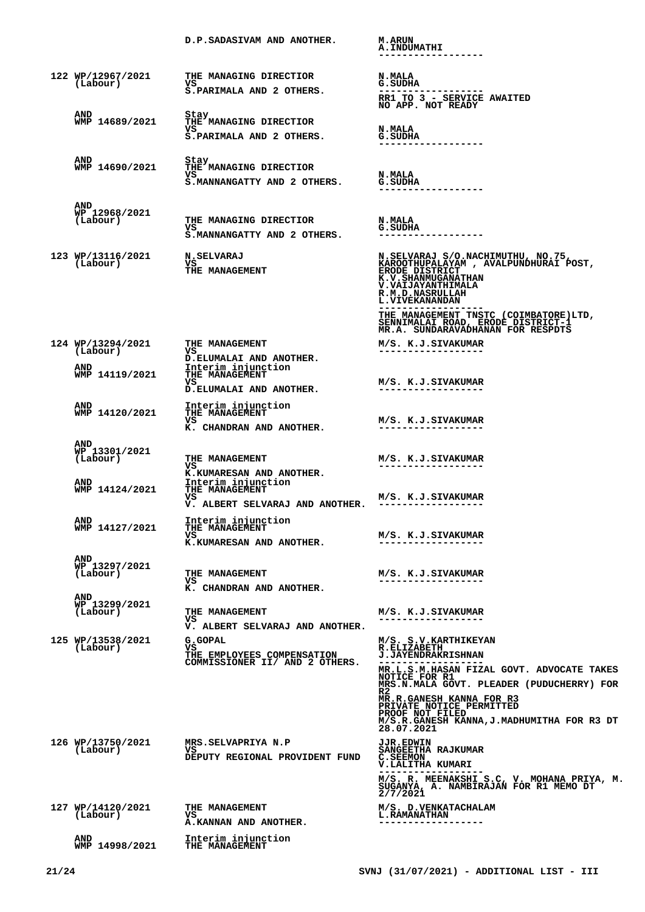|                                         | D.P.SADASIVAM AND ANOTHER.                                                    | <b>M.ARUN</b><br><b>A. INDUMATHI</b>                                                                                                                                                                                                                         |
|-----------------------------------------|-------------------------------------------------------------------------------|--------------------------------------------------------------------------------------------------------------------------------------------------------------------------------------------------------------------------------------------------------------|
| 122 WP/12967/2021<br>(Labour)           | THE MANAGING DIRECTIOR<br>vs.<br>S.PARIMALA AND 2 OTHERS.                     | <b>N.MALA</b><br>G.SUDHA<br>. _ _ _ _ _ _ _ _ _ _ _ _ _ _ _<br>RR1 TO 3 - SERVICE AWAITED<br>NO APP. NOT READY                                                                                                                                               |
| AND<br>WMP 14689/2021                   | Stay<br>THE MANAGING DIRECTIOR                                                |                                                                                                                                                                                                                                                              |
|                                         | vs<br>S. PARIMALA AND 2 OTHERS.                                               | <b>N.MALA</b><br>G.SUDHA                                                                                                                                                                                                                                     |
| AND<br>WMP 14690/2021                   | Stay<br>THE MANAGING DIRECTIOR<br>vs<br>S.MANNANGATTY AND 2 OTHERS.           | <b>N.MALA</b><br>G.SUDHA                                                                                                                                                                                                                                     |
| AND<br>WP 12968/2021<br>(Labour)        | THE MANAGING DIRECTIOR<br>vs<br>S.MANNANGATTY AND 2 OTHERS.                   | <b>N.MALA</b><br>G.SUDHA<br>-------------                                                                                                                                                                                                                    |
| 123 WP/13116/2021<br>(Labour)           | <b>N.SELVARAJ</b><br>VS<br>THE MANAGEMENT                                     | N.SELVARAJ S/O.NACHIMUTHU, NO.75,<br>KAROOTHUPALAYAM , AVALPUNDHURAI POST,<br>ERODE DISTRICT<br>K.V.SHANMUGANATHAN<br>V. VAIJAYANTHIMALA<br>R.M.D.NASRULLAH<br>L. VIVEKANANDAN<br>THE MANAGEMENT TNSTC (COIMBATORE)LTD,<br>SENNIMALAI ROAD, ERODE DISTRICT-1 |
| 124 WP/13294/2021                       | THE MANAGEMENT                                                                | MR.A. SUNDARAVADHANAN FOR RESPDTS<br>M/S. K.J.SIVAKUMAR                                                                                                                                                                                                      |
| (Labour)<br><b>AND</b>                  | vs<br>D.ELUMALAI AND ANOTHER.<br>Interim injunction                           |                                                                                                                                                                                                                                                              |
| WMP 14119/2021                          | THE MANAGEMENT<br>vs<br>D.ELUMALAI AND ANOTHER.                               | M/S. K.J.SIVAKUMAR                                                                                                                                                                                                                                           |
| AND<br>WMP 14120/2021                   | Interim injunction<br>THE MANAGEMENT<br>vs<br>K. CHANDRAN AND ANOTHER.        | M/S. K.J.SIVAKUMAR                                                                                                                                                                                                                                           |
| <b>AND</b><br>WP 13301/2021<br>(Labour) | THE MANAGEMENT<br>VS<br>K.KUMARESAN AND ANOTHER.                              | M/S. K.J.SIVAKUMAR                                                                                                                                                                                                                                           |
| <b>AND</b><br>WMP 14124/2021            | Interim injunction<br>THE MANAGEMENT<br>vs<br>V. ALBERT SELVARAJ AND ANOTHER. | M/S. K.J.SIVAKUMAR                                                                                                                                                                                                                                           |
| AND<br>WMP 14127/2021                   | Interim injunction<br>THE MANAGEMENT<br>VS.<br>K.KUMARESAN AND ANOTHER.       | M/S. K.J.SIVAKUMAR<br>------------------                                                                                                                                                                                                                     |
| AND<br>WP 13297/2021<br>(Labour)        | THE MANAGEMENT<br>VS<br>K. CHANDRAN AND ANOTHER.                              | M/S. K.J.SIVAKUMAR<br>------------------                                                                                                                                                                                                                     |
| AND<br>WP 13299/2021<br>(Labour)        | THE MANAGEMENT<br>vs<br>V. ALBERT SELVARAJ AND ANOTHER.                       | M/S. K.J.SIVAKUMAR<br>------------------                                                                                                                                                                                                                     |
| 125 WP/13538/2021<br>(Labour)           | G.GOPAL<br>VS<br>THE EMPLOYEES COMPENSATION<br>COMMISSIONER II/ AND 2 OTHERS. | M/S. S.V. KARTHIKEYAN<br><b>R.ELIZABETH</b><br><b>J.JAYENDRAKRISHNAN</b><br>MR.L.S.M.HASAN FIZAL GOVT. ADVOCATE TAKES<br>NOTICE FOR R1<br>MRS.N.MALA GOVT. PLEADER (PUDUCHERRY) FOR<br>R2<br>MR.R.GANESH KANNA FOR R3<br>PRIVATE NOTICE PERMITTED            |
|                                         |                                                                               | PROOF NOT FILED<br>M/S.R.GANESH KANNA, J.MADHUMITHA FOR R3 DT<br>28.07.2021                                                                                                                                                                                  |
| 126 WP/13750/2021<br>(Labour)           | MRS.SELVAPRIYA N.P<br>VS<br>DEPUTY REGIONAL PROVIDENT FUND                    | <b>JJR.EDWIN</b><br>SANGEETHA RAJKUMAR<br>C.SEEMON<br>V.LALITHA KUMARI<br>M/S. R. MEENAKSHI S.C, V. MOHANA PRIYA, M.<br>SUGANYA, A. NAMBIRAJAN FOR R1 MEMO DT<br>2/7/2021                                                                                    |
| 127 WP/14120/2021<br>(Labour)           | THE MANAGEMENT<br>VS<br>A.KANNAN AND ANOTHER.                                 | M/S. D. VENKATACHALAM<br><b>L.RAMANATHAN</b><br>------------------                                                                                                                                                                                           |
| AND<br>WMP 14998/2021                   | Interim injunction<br>THE MANAGEMENT                                          |                                                                                                                                                                                                                                                              |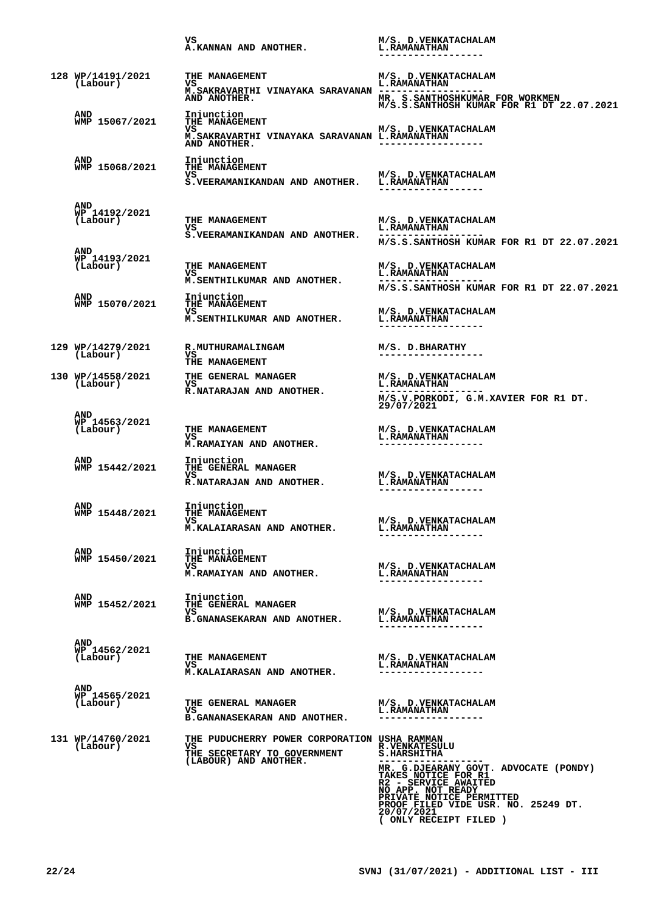|                                         | vs<br>A.KANNAN AND ANOTHER.                                                                                | M/S. D. VENKATACHALAM<br><b>L.RAMANATHAN</b>                                                                                                                                                                                                                       |
|-----------------------------------------|------------------------------------------------------------------------------------------------------------|--------------------------------------------------------------------------------------------------------------------------------------------------------------------------------------------------------------------------------------------------------------------|
| 128 WP/14191/2021<br>(Labour)           | THE MANAGEMENT<br>VS<br>M.SAKRAVARTHI VINAYAKA SARAVANAN -----------------<br>AND ANOTHER.                 | M/S. D. VENKATACHALAM<br>L. RAMANATHAN<br>MR. S.SANTHOSHKUMAR FOR WORKMEN                                                                                                                                                                                          |
| <b>AND</b><br>WMP 15067/2021            | Injunction<br>THE MANAGEMENT<br>vs<br>M. SAKRAVARTHI VINAYAKA SARAVANAN L. RAMANATHAN<br>AND ANOTHER.      | M/S.S.SANTHOSH KUMAR FOR R1 DT 22.07.2021<br>M/S. D. VENKATACHALAM                                                                                                                                                                                                 |
| AND<br>WMP 15068/2021                   | Injunction<br><b>THE MANAGEMENT</b><br>VS<br>S. VEERAMANIKANDAN AND ANOTHER.                               | M/S. D. VENKATACHALAM<br><b>L.RAMANATHAN</b>                                                                                                                                                                                                                       |
| AND<br>WP 14192/2021<br>(Labour)        | THE MANAGEMENT<br>VS<br>S. VEERAMANIKANDAN AND ANOTHER.                                                    | M/S. D.VENKATACHALAM<br><b>L.RAMANATHAN</b><br>M/S.S.SANTHOSH KUMAR FOR R1 DT 22.07.2021                                                                                                                                                                           |
| AND<br>WP 14193/2021<br>(Labour)        | THE MANAGEMENT<br>VS<br>M.SENTHILKUMAR AND ANOTHER.                                                        | M/S. D.VENKATACHALAM<br><b>L.RAMANATHAN</b><br>M/S.S.SANTHOSH KUMAR FOR R1 DT 22.07.2021                                                                                                                                                                           |
| <b>AND</b><br>WMP 15070/2021            | Injunction<br>THE MANAGEMENT<br>VS<br>M.SENTHILKUMAR AND ANOTHER.                                          | M/S. D.VENKATACHALAM<br><b>L.RAMANATHAN</b>                                                                                                                                                                                                                        |
| 129 WP/14279/2021<br>(Labour)           | <b>R.MUTHURAMALINGAM</b><br>VS –<br>THE MANAGEMENT                                                         | M/S. D.BHARATHY                                                                                                                                                                                                                                                    |
| 130 WP/14558/2021<br>(Labour)           | THE GENERAL MANAGER<br>VS<br>R.NATARAJAN AND ANOTHER.                                                      | M/S. D.VENKATACHALAM<br><b>L.RAMANATHAN</b><br>$M/S.V.PORKODI, G.M.XAVIER FOR R1 DT. 29/07/2021$                                                                                                                                                                   |
| <b>AND</b><br>WP 14563/2021<br>(Labour) | THE MANAGEMENT<br>VS<br>M.RAMAIYAN AND ANOTHER.                                                            | M/S. D.VENKATACHALAM<br><b>L.RAMANATHAN</b>                                                                                                                                                                                                                        |
| AND<br>WMP 15442/2021                   | Injunction<br>THE GENERAL MANAGER<br>vs<br>R.NATARAJAN AND ANOTHER.                                        | M/S. D. VENKATACHALAM<br><b>L.RAMANATHAN</b>                                                                                                                                                                                                                       |
| AND<br>WMP 15448/2021                   | Injunction<br>THE MANAGEMENT<br>vs<br>M.KALAIARASAN AND ANOTHER.                                           | M/S. D. VENKATACHALAM<br><b>L.RAMANATHAN</b>                                                                                                                                                                                                                       |
| AND<br>WMP 15450/2021                   | Injunction<br>THE MANAGEMENT<br>vs<br>M.RAMAIYAN AND ANOTHER.                                              | M/S. D.VENKATACHALAM<br><b>L.RAMANATHAN</b>                                                                                                                                                                                                                        |
| AND<br>WMP 15452/2021                   | Injunction<br>THE GENERAL MANAGER<br>vs<br><b>B.GNANASEKARAN AND ANOTHER.</b>                              | M/S. D.VENKATACHALAM<br><b>L.RAMANATHAN</b>                                                                                                                                                                                                                        |
| <b>AND</b><br>WP 14562/2021<br>(Labour) | THE MANAGEMENT<br>VS<br>M.KALAIARASAN AND ANOTHER.                                                         | M/S. D.VENKATACHALAM<br><b>L.RAMANATHAN</b>                                                                                                                                                                                                                        |
| <b>AND</b><br>WP 14565/2021<br>(Labour) | THE GENERAL MANAGER<br>vs<br><b>B.GANANASEKARAN AND ANOTHER.</b>                                           | M/S. D.VENKATACHALAM<br><b>L.RAMANATHAN</b><br>------------------                                                                                                                                                                                                  |
| 131 WP/14760/2021<br>(Labour)           | THE PUDUCHERRY POWER CORPORATION USHA RAMMAN<br>VS<br>THE SECRETARY TO GOVERNMENT<br>(LABOUR) AND ANOTHER. | <b>R.VENKATESULU</b><br><b>S.HARSHITHA</b><br>MR. G.DJEARANY GOVT. ADVOCATE (PONDY)<br>TAKES NOTICE FOR R1<br>R2 - SERVICE AWAITED<br>NO APP. NOT READY<br>PRIVATE NOTICE PERMITTED<br>PROOF FILED VIDE USR. NO. 25249 DT.<br>20/07/2021<br>( ONLY RECEIPT FILED ) |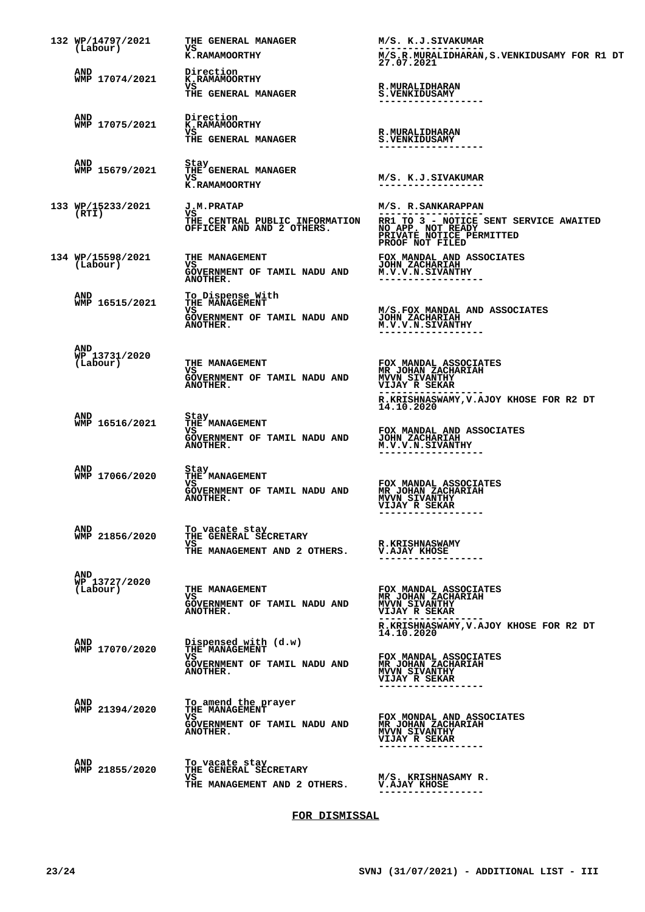| 132 WP/14797/2021<br>(Labour)    | THE GENERAL MANAGER<br>VS                                                                       | M/S. K.J.SIVAKUMAR                                                                                                                                                 |
|----------------------------------|-------------------------------------------------------------------------------------------------|--------------------------------------------------------------------------------------------------------------------------------------------------------------------|
|                                  | <b>K.RAMAMOORTHY</b>                                                                            | M/S.R.MURALIDHARAN, S.VENKIDUSAMY FOR R1 DT<br>27.07.2021                                                                                                          |
| AND<br>WMP 17074/2021            | Direction<br><b>K.RAMAMOORTHY</b><br>VS<br>THE GENERAL MANAGER                                  | <b>R.MURALIDHARAN</b><br><b>S.VENKIDUSAMY</b>                                                                                                                      |
| AND<br>WMP 17075/2021            | Direction<br><b>K.RAMAMOORTHY</b><br>VS<br>THE GENERAL MANAGER                                  | <b>R.MURALIDHARAN</b><br><b>S.VENKIDUSAMY</b>                                                                                                                      |
| AND<br>WMP 15679/2021            | Stay<br>THE GENERAL MANAGER<br>VS<br>K.RAMAMOORTHY                                              | M/S. K.J.SIVAKUMAR<br>------------------                                                                                                                           |
| 133 WP/15233/2021<br>(RTI)       | <b>J.M.PRATAP</b><br>VS<br>THE CENTRAL PUBLIC INFORMATION<br>OFFICER AND AND 2 OTHERS.          | M/S. R.SANKARAPPAN<br>RR1 TO 3 - NOTICE SENT SERVICE AWAITED<br>NO APP. NOT READY<br>PRIVATE NOTICE PERMITTED<br>PROOF NOT FILED                                   |
| 134 WP/15598/2021<br>(Labour)    | THE MANAGEMENT<br>VS<br>GOVERNMENT OF TAMIL NADU AND<br>ANOTHER.                                | FOX MANDAL AND ASSOCIATES<br><b>JOHN ZACHARIAH</b><br>M.V.V.N.SIVANTHY                                                                                             |
| AND<br>WMP 16515/2021            | To Dispense With<br>THE MANAGEMENT<br>vs<br>GOVERNMENT OF TAMIL NADU AND<br>ANOTHER.            | M/S.FOX MANDAL AND ASSOCIATES<br><b>JOHN ZACHARIAH</b><br>M.V.V.N.SIVANTHY<br>------------------                                                                   |
| AND<br>WP 13731/2020<br>(Labour) | THE MANAGEMENT<br>VS<br>GOVERNMENT OF TAMIL NADU AND<br>ANOTHER.                                | FOX MANDAL ASSOCIATES<br>MR JOHAN ZACHARIAH<br>VIJAY R SEKAR                                                                                                       |
|                                  |                                                                                                 | R.KRISHNASWAMY, V.AJOY KHOSE FOR R2 DT<br>14.10.2020                                                                                                               |
| AND<br>WMP 16516/2021            | Stay<br>THE MANAGEMENT<br>vs<br>GOVERNMENT OF TAMIL NADU AND<br>ANOTHER.                        | FOX MANDAL AND ASSOCIATES<br><b>JOHN ZACHARIAH</b><br>M.V.V.N.SIVANTHY                                                                                             |
| AND<br>WMP 17066/2020            | Stay<br>THE MANAGEMENT<br>VS<br>GOVERNMENT OF TAMIL NADU AND<br>ANOTHER.                        | FOX MANDAL ASSOCIATES<br>MR JOHAN ZACHARIAH<br>MVVN SIVANTHY<br><b>VIJAY R SEKAR</b><br>------------------                                                         |
| AND<br>WMP 21856/2020            | To vacate stay<br>THE GENERAL SECRETARY<br>vs<br>THE MANAGEMENT AND 2 OTHERS.                   | <b>R.KRISHNASWAMY</b><br><b>V.AJAY KHOSE</b>                                                                                                                       |
| AND<br>WP 13727/2020<br>(Labour) | <b>THE MANAGEMENT</b><br>VS<br>GOVERNMENT OF TAMIL NADU AND<br><b>ANOTHER.</b>                  | FOX MANDAL ASSOCIATES<br>MR JOHAN ZACHARIAH<br>MVVN SIVANTHY<br><b>VIJAY R SEKAR</b><br>. <u>.</u> .                                                               |
| AND<br>WMP 17070/2020            | Dispensed with (d.w)<br><b>THE MANAGEMENT</b><br>vs<br>GOVERNMENT OF TAMIL NADU AND<br>ANOTHER. | R.KRISHNASWAMY, V.AJOY KHOSE FOR R2 DT<br>14.10.2020<br>FOX MANDAL ASSOCIATES<br>MR JOHAN ZACHARIAH<br><b>MVVN SIVANTHY</b><br>VIJAY R SEKAR<br>------------------ |
| AND<br>WMP 21394/2020            | To amend the prayer<br>THE MANAGEMENT<br>VS.<br>GOVERNMENT OF TAMIL NADU AND<br>ANOTHER.        | FOX MONDAL AND ASSOCIATES<br>MR JOHAN ZACHARIAH<br><b>MVVN SIVANTHY</b><br><b>VIJAY R SEKAR</b><br>----------------                                                |
| AND<br>WMP 21855/2020            | To vacate stay<br>THE GENERAL SECRETARY<br>VS.<br>THE MANAGEMENT AND 2 OTHERS.                  | M/S. KRISHNASAMY R.<br>V.AJAY KHOSE                                                                                                                                |

## **FOR DISMISSAL**